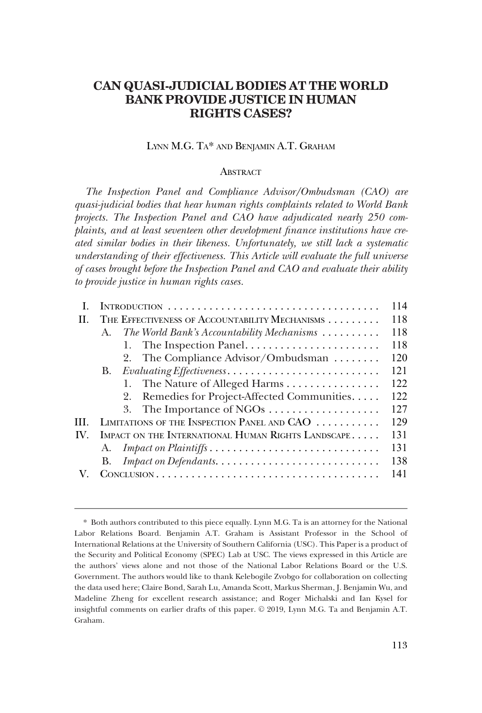# **CAN QUASI-JUDICIAL BODIES AT THE WORLD BANK PROVIDE JUSTICE IN HUMAN RIGHTS CASES?**

### LYNN M.G. TA\* AND BENJAMIN A.T. GRAHAM

#### **ABSTRACT**

*The Inspection Panel and Compliance Advisor/Ombudsman (CAO) are quasi-judicial bodies that hear human rights complaints related to World Bank projects. The Inspection Panel and CAO have adjudicated nearly 250 complaints, and at least seventeen other development finance institutions have created similar bodies in their likeness. Unfortunately, we still lack a systematic understanding of their effectiveness. This Article will evaluate the full universe of cases brought before the Inspection Panel and CAO and evaluate their ability to provide justice in human rights cases.* 

|     |                                                                         | 114 |
|-----|-------------------------------------------------------------------------|-----|
| Н.  | THE EFFECTIVENESS OF ACCOUNTABILITY MECHANISMS                          | 118 |
|     | The World Bank's Accountability Mechanisms $\ldots \ldots \ldots$<br>A. | 118 |
|     | The Inspection Panel<br>1.                                              | 118 |
|     | 2. The Compliance Advisor/Ombudsman                                     | 120 |
|     | В.                                                                      | 121 |
|     | The Nature of Alleged Harms<br>1.                                       | 122 |
|     | Remedies for Project-Affected Communities<br>2.                         | 122 |
|     |                                                                         | 127 |
| НL  | LIMITATIONS OF THE INSPECTION PANEL AND CAO                             | 129 |
| IV. | IMPACT ON THE INTERNATIONAL HUMAN RIGHTS LANDSCAPE                      | 131 |
|     | А.                                                                      | 131 |
|     | В.                                                                      | 138 |
|     |                                                                         | 141 |
|     |                                                                         |     |

<sup>\*</sup> Both authors contributed to this piece equally. Lynn M.G. Ta is an attorney for the National Labor Relations Board. Benjamin A.T. Graham is Assistant Professor in the School of International Relations at the University of Southern California (USC). This Paper is a product of the Security and Political Economy (SPEC) Lab at USC. The views expressed in this Article are the authors' views alone and not those of the National Labor Relations Board or the U.S. Government. The authors would like to thank Kelebogile Zvobgo for collaboration on collecting the data used here; Claire Bond, Sarah Lu, Amanda Scott, Markus Sherman, J. Benjamin Wu, and Madeline Zheng for excellent research assistance; and Roger Michalski and Ian Kysel for insightful comments on earlier drafts of this paper.  $© 2019$ , Lynn M.G. Ta and Benjamin A.T. Graham.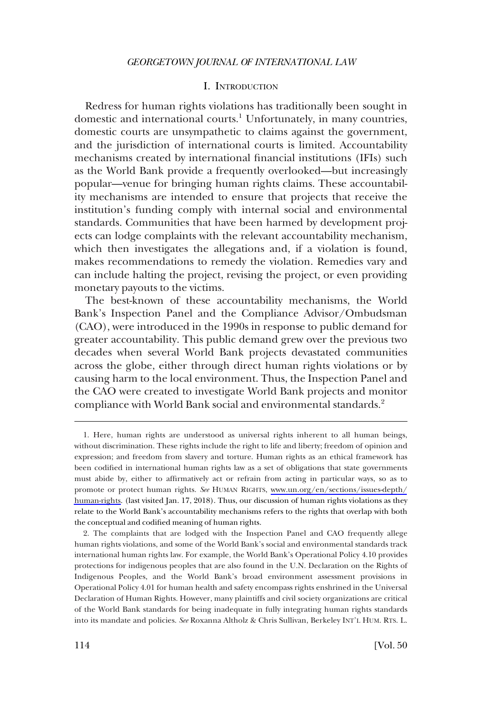### I. INTRODUCTION

<span id="page-1-0"></span>Redress for human rights violations has traditionally been sought in domestic and international courts.<sup>1</sup> Unfortunately, in many countries, domestic courts are unsympathetic to claims against the government, and the jurisdiction of international courts is limited. Accountability mechanisms created by international financial institutions (IFIs) such as the World Bank provide a frequently overlooked—but increasingly popular—venue for bringing human rights claims. These accountability mechanisms are intended to ensure that projects that receive the institution's funding comply with internal social and environmental standards. Communities that have been harmed by development projects can lodge complaints with the relevant accountability mechanism, which then investigates the allegations and, if a violation is found, makes recommendations to remedy the violation. Remedies vary and can include halting the project, revising the project, or even providing monetary payouts to the victims.

The best-known of these accountability mechanisms, the World Bank's Inspection Panel and the Compliance Advisor/Ombudsman (CAO), were introduced in the 1990s in response to public demand for greater accountability. This public demand grew over the previous two decades when several World Bank projects devastated communities across the globe, either through direct human rights violations or by causing harm to the local environment. Thus, the Inspection Panel and the CAO were created to investigate World Bank projects and monitor compliance with World Bank social and environmental standards.<sup>2</sup>

<sup>1.</sup> Here, human rights are understood as universal rights inherent to all human beings, without discrimination. These rights include the right to life and liberty; freedom of opinion and expression; and freedom from slavery and torture. Human rights as an ethical framework has been codified in international human rights law as a set of obligations that state governments must abide by, either to affirmatively act or refrain from acting in particular ways, so as to promote or protect human rights. *See* HUMAN RIGHTS, [www.un.org/en/sections/issues-depth/](http://www.un.org/en/sections/issues-depth/human-rights) [human-rights.](http://www.un.org/en/sections/issues-depth/human-rights) (last visited Jan. 17, 2018). Thus, our discussion of human rights violations as they relate to the World Bank's accountability mechanisms refers to the rights that overlap with both the conceptual and codified meaning of human rights.

<sup>2.</sup> The complaints that are lodged with the Inspection Panel and CAO frequently allege human rights violations, and some of the World Bank's social and environmental standards track international human rights law. For example, the World Bank's Operational Policy 4.10 provides protections for indigenous peoples that are also found in the U.N. Declaration on the Rights of Indigenous Peoples, and the World Bank's broad environment assessment provisions in Operational Policy 4.01 for human health and safety encompass rights enshrined in the Universal Declaration of Human Rights. However, many plaintiffs and civil society organizations are critical of the World Bank standards for being inadequate in fully integrating human rights standards into its mandate and policies. *See* Roxanna Altholz & Chris Sullivan, Berkeley INT'L HUM. RTS. L.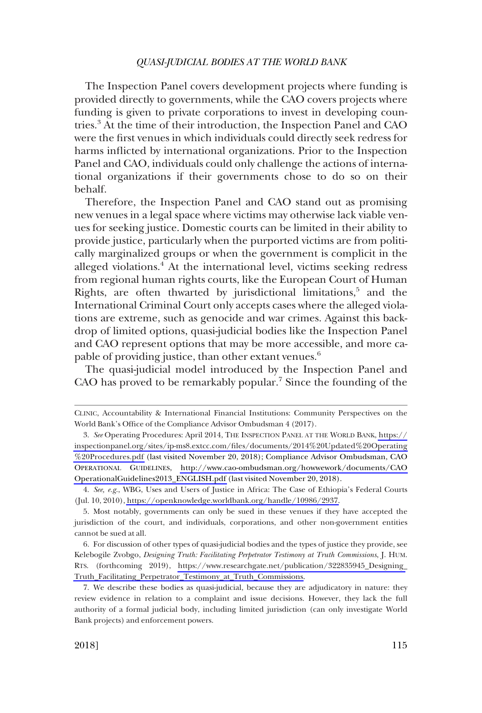The Inspection Panel covers development projects where funding is provided directly to governments, while the CAO covers projects where funding is given to private corporations to invest in developing countries.<sup>3</sup> At the time of their introduction, the Inspection Panel and CAO were the first venues in which individuals could directly seek redress for harms inflicted by international organizations. Prior to the Inspection Panel and CAO, individuals could only challenge the actions of international organizations if their governments chose to do so on their behalf.

Therefore, the Inspection Panel and CAO stand out as promising new venues in a legal space where victims may otherwise lack viable venues for seeking justice. Domestic courts can be limited in their ability to provide justice, particularly when the purported victims are from politically marginalized groups or when the government is complicit in the alleged violations.<sup>4</sup> At the international level, victims seeking redress from regional human rights courts, like the European Court of Human Rights, are often thwarted by jurisdictional limitations, $5$  and the International Criminal Court only accepts cases where the alleged violations are extreme, such as genocide and war crimes. Against this backdrop of limited options, quasi-judicial bodies like the Inspection Panel and CAO represent options that may be more accessible, and more capable of providing justice, than other extant venues.<sup>6</sup>

The quasi-judicial model introduced by the Inspection Panel and CAO has proved to be remarkably popular.<sup>7</sup> Since the founding of the

CLINIC, Accountability & International Financial Institutions: Community Perspectives on the World Bank's Office of the Compliance Advisor Ombudsman 4 (2017).

*See* Operating Procedures: April 2014, THE INSPECTION PANEL AT THE WORLD BANK, [https://](https://inspectionpanel.org/sites/ip-ms8.extcc.com/files/documents/2014%20Updated%20Operating%20Procedures.pdf) 3. [inspectionpanel.org/sites/ip-ms8.extcc.com/files/documents/2014%20Updated%20Operating](https://inspectionpanel.org/sites/ip-ms8.extcc.com/files/documents/2014%20Updated%20Operating%20Procedures.pdf) [%20Procedures.pdf](https://inspectionpanel.org/sites/ip-ms8.extcc.com/files/documents/2014%20Updated%20Operating%20Procedures.pdf) (last visited November 20, 2018); Compliance Advisor Ombudsman, CAO OPERATIONAL GUIDELINES, [http://www.cao-ombudsman.org/howwework/documents/CAO](http://www.cao-ombudsman.org/howwework/documents/CAOOperationalGuidelines2013_ENGLISH.pdf) [OperationalGuidelines2013\\_ENGLISH.pdf](http://www.cao-ombudsman.org/howwework/documents/CAOOperationalGuidelines2013_ENGLISH.pdf) (last visited November 20, 2018).

*See, e.g*., WBG, Uses and Users of Justice in Africa: The Case of Ethiopia's Federal Courts 4. (Jul. 10, 2010), [https://openknowledge.worldbank.org/handle/10986/2937.](https://openknowledge.worldbank.org/handle/10986/2937)

<sup>5.</sup> Most notably, governments can only be sued in these venues if they have accepted the jurisdiction of the court, and individuals, corporations, and other non-government entities cannot be sued at all.

For discussion of other types of quasi-judicial bodies and the types of justice they provide, see 6. Kelebogile Zvobgo, *Designing Truth: Facilitating Perpetrator Testimony at Truth Commissions*, J. HUM. RTS. (forthcoming 2019), [https://www.researchgate.net/publication/322835945\\_Designing\\_](https://www.researchgate.net/publication/322835945_Designing_Truth_Facilitating_Perpetrator_Testimony_at_Truth_Commissions) [Truth\\_Facilitating\\_Perpetrator\\_Testimony\\_at\\_Truth\\_Commissions.](https://www.researchgate.net/publication/322835945_Designing_Truth_Facilitating_Perpetrator_Testimony_at_Truth_Commissions)

<sup>7.</sup> We describe these bodies as quasi-judicial, because they are adjudicatory in nature: they review evidence in relation to a complaint and issue decisions. However, they lack the full authority of a formal judicial body, including limited jurisdiction (can only investigate World Bank projects) and enforcement powers.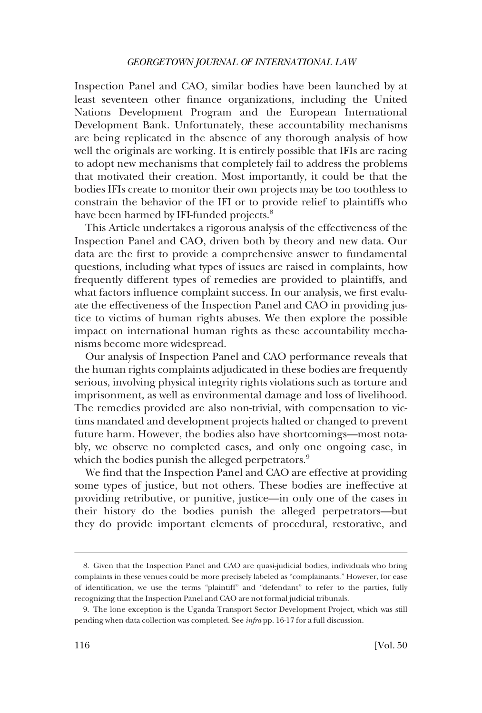Inspection Panel and CAO, similar bodies have been launched by at least seventeen other finance organizations, including the United Nations Development Program and the European International Development Bank. Unfortunately, these accountability mechanisms are being replicated in the absence of any thorough analysis of how well the originals are working. It is entirely possible that IFIs are racing to adopt new mechanisms that completely fail to address the problems that motivated their creation. Most importantly, it could be that the bodies IFIs create to monitor their own projects may be too toothless to constrain the behavior of the IFI or to provide relief to plaintiffs who have been harmed by IFI-funded projects.<sup>8</sup>

This Article undertakes a rigorous analysis of the effectiveness of the Inspection Panel and CAO, driven both by theory and new data. Our data are the first to provide a comprehensive answer to fundamental questions, including what types of issues are raised in complaints, how frequently different types of remedies are provided to plaintiffs, and what factors influence complaint success. In our analysis, we first evaluate the effectiveness of the Inspection Panel and CAO in providing justice to victims of human rights abuses. We then explore the possible impact on international human rights as these accountability mechanisms become more widespread.

Our analysis of Inspection Panel and CAO performance reveals that the human rights complaints adjudicated in these bodies are frequently serious, involving physical integrity rights violations such as torture and imprisonment, as well as environmental damage and loss of livelihood. The remedies provided are also non-trivial, with compensation to victims mandated and development projects halted or changed to prevent future harm. However, the bodies also have shortcomings—most notably, we observe no completed cases, and only one ongoing case, in which the bodies punish the alleged perpetrators.<sup>9</sup>

We find that the Inspection Panel and CAO are effective at providing some types of justice, but not others. These bodies are ineffective at providing retributive, or punitive, justice—in only one of the cases in their history do the bodies punish the alleged perpetrators—but they do provide important elements of procedural, restorative, and

<sup>8.</sup> Given that the Inspection Panel and CAO are quasi-judicial bodies, individuals who bring complaints in these venues could be more precisely labeled as "complainants." However, for ease of identification, we use the terms "plaintiff" and "defendant" to refer to the parties, fully recognizing that the Inspection Panel and CAO are not formal judicial tribunals.

<sup>9.</sup> The lone exception is the Uganda Transport Sector Development Project, which was still pending when data collection was completed. See *infra* pp. 16-17 for a full discussion.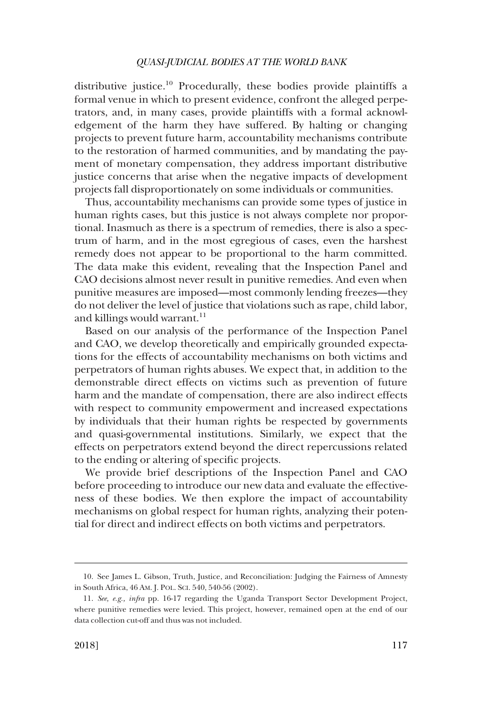distributive justice.<sup>10</sup> Procedurally, these bodies provide plaintiffs a formal venue in which to present evidence, confront the alleged perpetrators, and, in many cases, provide plaintiffs with a formal acknowledgement of the harm they have suffered. By halting or changing projects to prevent future harm, accountability mechanisms contribute to the restoration of harmed communities, and by mandating the payment of monetary compensation, they address important distributive justice concerns that arise when the negative impacts of development projects fall disproportionately on some individuals or communities.

Thus, accountability mechanisms can provide some types of justice in human rights cases, but this justice is not always complete nor proportional. Inasmuch as there is a spectrum of remedies, there is also a spectrum of harm, and in the most egregious of cases, even the harshest remedy does not appear to be proportional to the harm committed. The data make this evident, revealing that the Inspection Panel and CAO decisions almost never result in punitive remedies. And even when punitive measures are imposed—most commonly lending freezes—they do not deliver the level of justice that violations such as rape, child labor, and killings would warrant. $11$ 

Based on our analysis of the performance of the Inspection Panel and CAO, we develop theoretically and empirically grounded expectations for the effects of accountability mechanisms on both victims and perpetrators of human rights abuses. We expect that, in addition to the demonstrable direct effects on victims such as prevention of future harm and the mandate of compensation, there are also indirect effects with respect to community empowerment and increased expectations by individuals that their human rights be respected by governments and quasi-governmental institutions. Similarly, we expect that the effects on perpetrators extend beyond the direct repercussions related to the ending or altering of specific projects.

We provide brief descriptions of the Inspection Panel and CAO before proceeding to introduce our new data and evaluate the effectiveness of these bodies. We then explore the impact of accountability mechanisms on global respect for human rights, analyzing their potential for direct and indirect effects on both victims and perpetrators.

<sup>10.</sup> See James L. Gibson, Truth, Justice, and Reconciliation: Judging the Fairness of Amnesty in South Africa, 46 AM. J. POL. SCI. 540, 540-56 (2002).

<sup>11.</sup> *See, e.g., infra* pp. 16-17 regarding the Uganda Transport Sector Development Project, where punitive remedies were levied. This project, however, remained open at the end of our data collection cut-off and thus was not included.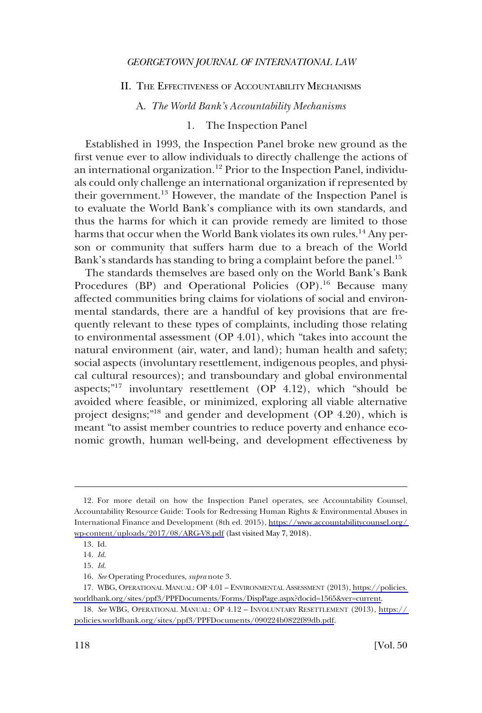### <span id="page-5-0"></span>II. THE EFFECTIVENESS OF ACCOUNTABILITY MECHANISMS

A. *The World Bank's Accountability Mechanisms* 

### 1. The Inspection Panel

Established in 1993, the Inspection Panel broke new ground as the first venue ever to allow individuals to directly challenge the actions of an international organization.<sup>12</sup> Prior to the Inspection Panel, individuals could only challenge an international organization if represented by their government.13 However, the mandate of the Inspection Panel is to evaluate the World Bank's compliance with its own standards, and thus the harms for which it can provide remedy are limited to those harms that occur when the World Bank violates its own rules.<sup>14</sup> Any person or community that suffers harm due to a breach of the World Bank's standards has standing to bring a complaint before the panel.<sup>15</sup>

The standards themselves are based only on the World Bank's Bank Procedures (BP) and Operational Policies (OP).<sup>16</sup> Because many affected communities bring claims for violations of social and environmental standards, there are a handful of key provisions that are frequently relevant to these types of complaints, including those relating to environmental assessment (OP 4.01), which "takes into account the natural environment (air, water, and land); human health and safety; social aspects (involuntary resettlement, indigenous peoples, and physical cultural resources); and transboundary and global environmental aspects;"<sup>17</sup> involuntary resettlement (OP 4.12), which "should be avoided where feasible, or minimized, exploring all viable alternative project designs;"<sup>18</sup> and gender and development (OP 4.20), which is meant "to assist member countries to reduce poverty and enhance economic growth, human well-being, and development effectiveness by

<sup>12.</sup> For more detail on how the Inspection Panel operates, see Accountability Counsel, Accountability Resource Guide: Tools for Redressing Human Rights & Environmental Abuses in International Finance and Development (8th ed. 2015), [https://www.accountabilitycounsel.org/](https://www.accountabilitycounsel.org/wp-content/uploads/2017/08/ARG-V8.pdf)  [wp-content/uploads/2017/08/ARG-V8.pdf](https://www.accountabilitycounsel.org/wp-content/uploads/2017/08/ARG-V8.pdf) (last visited May 7, 2018).

<sup>13.</sup> Id.

<sup>14.</sup> *Id*.

<sup>15.</sup> *Id*.

<sup>16.</sup> *See* Operating Procedures, *supra* note 3.

WBG, OPERATIONAL MANUAL: OP 4.01 – ENVIRONMENTAL ASSESSMENT (2013), [https://policies.](https://policies.worldbank.org/sites/ppf3/PPFDocuments/Forms/DispPage.aspx?docid=1565&ver=current)  17. [worldbank.org/sites/ppf3/PPFDocuments/Forms/DispPage.aspx?docid=1565&ver=current](https://policies.worldbank.org/sites/ppf3/PPFDocuments/Forms/DispPage.aspx?docid=1565&ver=current).

<sup>18.</sup> See WBG, OPERATIONAL MANUAL: OP 4.12 - INVOLUNTARY RESETTLEMENT (2013), https:// [policies.worldbank.org/sites/ppf3/PPFDocuments/090224b0822f89db.pdf](https://policies.worldbank.org/sites/ppf3/PPFDocuments/090224b0822f89db.pdf).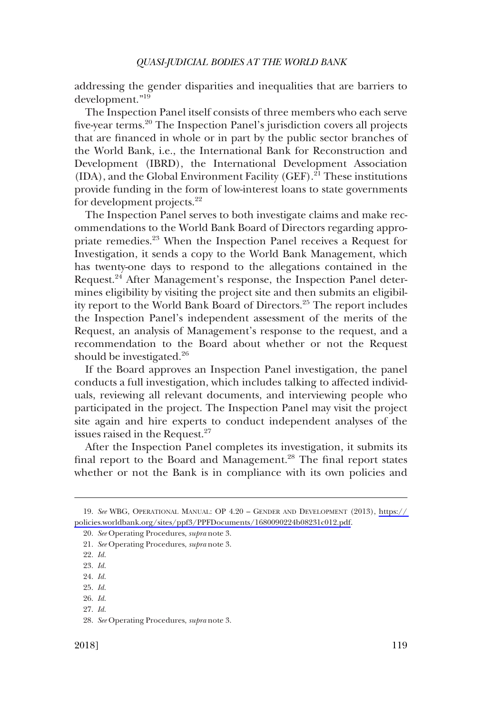addressing the gender disparities and inequalities that are barriers to development."19

The Inspection Panel itself consists of three members who each serve five-year terms.20 The Inspection Panel's jurisdiction covers all projects that are financed in whole or in part by the public sector branches of the World Bank, i.e., the International Bank for Reconstruction and Development (IBRD), the International Development Association  $(IDA)$ , and the Global Environment Facility  $(GEF)$ <sup>21</sup>. These institutions provide funding in the form of low-interest loans to state governments for development projects.<sup>22</sup>

The Inspection Panel serves to both investigate claims and make recommendations to the World Bank Board of Directors regarding appropriate remedies.<sup>23</sup> When the Inspection Panel receives a Request for Investigation, it sends a copy to the World Bank Management, which has twenty-one days to respond to the allegations contained in the Request.24 After Management's response, the Inspection Panel determines eligibility by visiting the project site and then submits an eligibility report to the World Bank Board of Directors.25 The report includes the Inspection Panel's independent assessment of the merits of the Request, an analysis of Management's response to the request, and a recommendation to the Board about whether or not the Request should be investigated.<sup>26</sup>

If the Board approves an Inspection Panel investigation, the panel conducts a full investigation, which includes talking to affected individuals, reviewing all relevant documents, and interviewing people who participated in the project. The Inspection Panel may visit the project site again and hire experts to conduct independent analyses of the issues raised in the Request.<sup>27</sup>

After the Inspection Panel completes its investigation, it submits its final report to the Board and Management.<sup>28</sup> The final report states whether or not the Bank is in compliance with its own policies and

26. *Id*. 27. *Id*.

*See* WBG, OPERATIONAL MANUAL: OP 4.20 – GENDER AND DEVELOPMENT (2013), [https://](https://policies.worldbank.org/sites/ppf3/PPFDocuments/1680090224b08231c012.pdf)  19. [policies.worldbank.org/sites/ppf3/PPFDocuments/1680090224b08231c012.pdf.](https://policies.worldbank.org/sites/ppf3/PPFDocuments/1680090224b08231c012.pdf)

<sup>20.</sup> *See* Operating Procedures, *supra* note 3.

<sup>21.</sup> *See* Operating Procedures, *supra* note 3.

<sup>22.</sup> *Id*.

<sup>23.</sup> *Id*.

<sup>24.</sup> *Id*.

<sup>25.</sup> *Id*.

<sup>28.</sup> *See* Operating Procedures, *supra* note 3.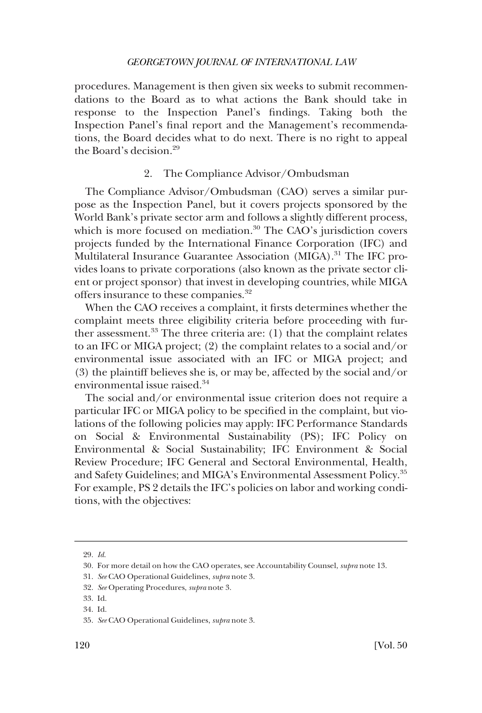<span id="page-7-0"></span>procedures. Management is then given six weeks to submit recommendations to the Board as to what actions the Bank should take in response to the Inspection Panel's findings. Taking both the Inspection Panel's final report and the Management's recommendations, the Board decides what to do next. There is no right to appeal the Board's decision.29

### 2. The Compliance Advisor/Ombudsman

The Compliance Advisor/Ombudsman (CAO) serves a similar purpose as the Inspection Panel, but it covers projects sponsored by the World Bank's private sector arm and follows a slightly different process, which is more focused on mediation.<sup>30</sup> The CAO's jurisdiction covers projects funded by the International Finance Corporation (IFC) and Multilateral Insurance Guarantee Association (MIGA).<sup>31</sup> The IFC provides loans to private corporations (also known as the private sector client or project sponsor) that invest in developing countries, while MIGA offers insurance to these companies.<sup>32</sup>

When the CAO receives a complaint, it firsts determines whether the complaint meets three eligibility criteria before proceeding with further assessment. $33$  The three criteria are: (1) that the complaint relates to an IFC or MIGA project; (2) the complaint relates to a social and/or environmental issue associated with an IFC or MIGA project; and (3) the plaintiff believes she is, or may be, affected by the social and/or environmental issue raised.<sup>34</sup>

The social and/or environmental issue criterion does not require a particular IFC or MIGA policy to be specified in the complaint, but violations of the following policies may apply: IFC Performance Standards on Social & Environmental Sustainability (PS); IFC Policy on Environmental & Social Sustainability; IFC Environment & Social Review Procedure; IFC General and Sectoral Environmental, Health, and Safety Guidelines; and MIGA's Environmental Assessment Policy.35 For example, PS 2 details the IFC's policies on labor and working conditions, with the objectives:

<sup>29.</sup> *Id*.

<sup>30.</sup> For more detail on how the CAO operates, see Accountability Counsel, *supra* note 13.

<sup>31.</sup> *See* CAO Operational Guidelines, *supra* note 3.

<sup>32.</sup> *See* Operating Procedures, *supra* note 3.

<sup>33.</sup> Id.

<sup>34.</sup> Id.

<sup>35.</sup> *See* CAO Operational Guidelines, *supra* note 3.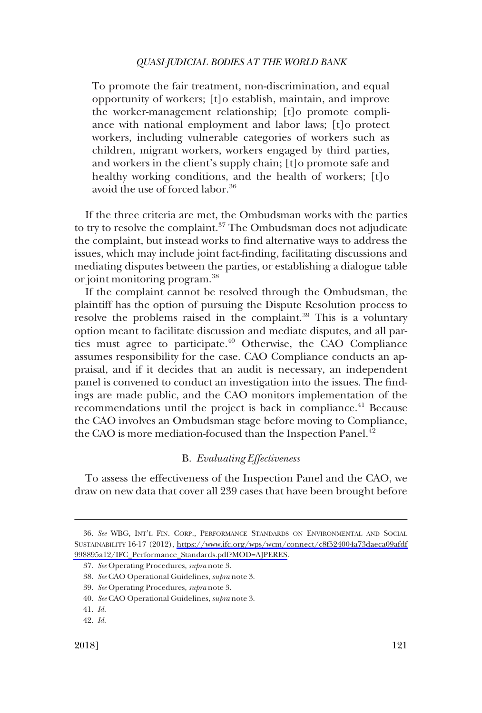<span id="page-8-0"></span>To promote the fair treatment, non-discrimination, and equal opportunity of workers; [t]o establish, maintain, and improve the worker-management relationship; [t]o promote compliance with national employment and labor laws; [t]o protect workers, including vulnerable categories of workers such as children, migrant workers, workers engaged by third parties, and workers in the client's supply chain; [t]o promote safe and healthy working conditions, and the health of workers; [t]o avoid the use of forced labor.<sup>36</sup>

If the three criteria are met, the Ombudsman works with the parties to try to resolve the complaint.<sup>37</sup> The Ombudsman does not adjudicate the complaint, but instead works to find alternative ways to address the issues, which may include joint fact-finding, facilitating discussions and mediating disputes between the parties, or establishing a dialogue table or joint monitoring program.38

If the complaint cannot be resolved through the Ombudsman, the plaintiff has the option of pursuing the Dispute Resolution process to resolve the problems raised in the complaint.<sup>39</sup> This is a voluntary option meant to facilitate discussion and mediate disputes, and all parties must agree to participate.<sup>40</sup> Otherwise, the CAO Compliance assumes responsibility for the case. CAO Compliance conducts an appraisal, and if it decides that an audit is necessary, an independent panel is convened to conduct an investigation into the issues. The findings are made public, and the CAO monitors implementation of the recommendations until the project is back in compliance.<sup>41</sup> Because the CAO involves an Ombudsman stage before moving to Compliance, the CAO is more mediation-focused than the Inspection Panel.<sup>42</sup>

### B. *Evaluating Effectiveness*

To assess the effectiveness of the Inspection Panel and the CAO, we draw on new data that cover all 239 cases that have been brought before

*See* WBG, INT'L FIN. CORP., PERFORMANCE STANDARDS ON ENVIRONMENTAL AND SOCIAL 36. SUSTAINABILITY 16-17 (2012), [https://www.ifc.org/wps/wcm/connect/c8f524004a73daeca09afdf](https://www.ifc.org/wps/wcm/connect/c8f524004a73daeca09afdf998895a12/IFC_Performance_Standards.pdf?MOD=AJPERES) [998895a12/IFC\\_Performance\\_Standards.pdf?MOD=AJPERES.](https://www.ifc.org/wps/wcm/connect/c8f524004a73daeca09afdf998895a12/IFC_Performance_Standards.pdf?MOD=AJPERES)

<sup>37.</sup> *See* Operating Procedures, *supra* note 3.

<sup>38.</sup> *See* CAO Operational Guidelines, *supra* note 3.

<sup>39.</sup> *See* Operating Procedures, *supra* note 3.

<sup>40.</sup> *See* CAO Operational Guidelines, *supra* note 3.

<sup>41.</sup> *Id*.

<sup>42.</sup> *Id*.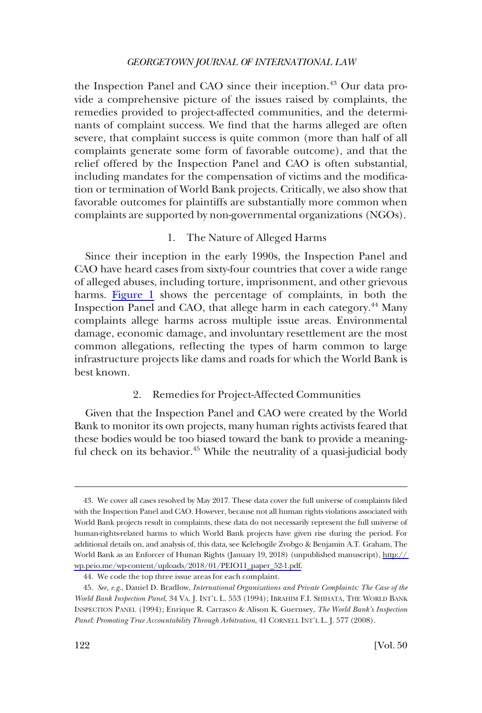<span id="page-9-0"></span>the Inspection Panel and CAO since their inception.<sup>43</sup> Our data provide a comprehensive picture of the issues raised by complaints, the remedies provided to project-affected communities, and the determinants of complaint success. We find that the harms alleged are often severe, that complaint success is quite common (more than half of all complaints generate some form of favorable outcome), and that the relief offered by the Inspection Panel and CAO is often substantial, including mandates for the compensation of victims and the modification or termination of World Bank projects. Critically, we also show that favorable outcomes for plaintiffs are substantially more common when complaints are supported by non-governmental organizations (NGOs).

### 1. The Nature of Alleged Harms

Since their inception in the early 1990s, the Inspection Panel and CAO have heard cases from sixty-four countries that cover a wide range of alleged abuses, including torture, imprisonment, and other grievous harms. [Figure 1](#page-10-0) shows the percentage of complaints, in both the Inspection Panel and CAO, that allege harm in each category.<sup>44</sup> Many complaints allege harms across multiple issue areas. Environmental damage, economic damage, and involuntary resettlement are the most common allegations, reflecting the types of harm common to large infrastructure projects like dams and roads for which the World Bank is best known.

## 2. Remedies for Project-Affected Communities

Given that the Inspection Panel and CAO were created by the World Bank to monitor its own projects, many human rights activists feared that these bodies would be too biased toward the bank to provide a meaningful check on its behavior.<sup>45</sup> While the neutrality of a quasi-judicial body

We cover all cases resolved by May 2017. These data cover the full universe of complaints filed 43. with the Inspection Panel and CAO. However, because not all human rights violations associated with World Bank projects result in complaints, these data do not necessarily represent the full universe of human-rights-related harms to which World Bank projects have given rise during the period. For additional details on, and analysis of, this data, see Kelebogile Zvobgo & Benjamin A.T. Graham, The World Bank as an Enforcer of Human Rights (January 19, 2018) (unpublished manuscript), [http://](http://wp.peio.me/wp-content/uploads/2018/01/PEIO11_paper_52-1.pdf)  [wp.peio.me/wp-content/uploads/2018/01/PEIO11\\_paper\\_52-1.pdf.](http://wp.peio.me/wp-content/uploads/2018/01/PEIO11_paper_52-1.pdf)

<sup>44.</sup> We code the top three issue areas for each complaint.

<sup>45.</sup> *See, e.g*., Daniel D. Bradlow, *International Organizations and Private Complaints: The Case of the World Bank Inspection Panel*, 34 VA. J. INT'L L. 553 (1994); IBRAHIM F.I. SHIHATA, THE WORLD BANK INSPECTION PANEL (1994); Enrique R. Carrasco & Alison K. Guernsey, *The World Bank's Inspection Panel: Promoting True Accountability Through Arbitration*, 41 CORNELL INT'L L. J. 577 (2008).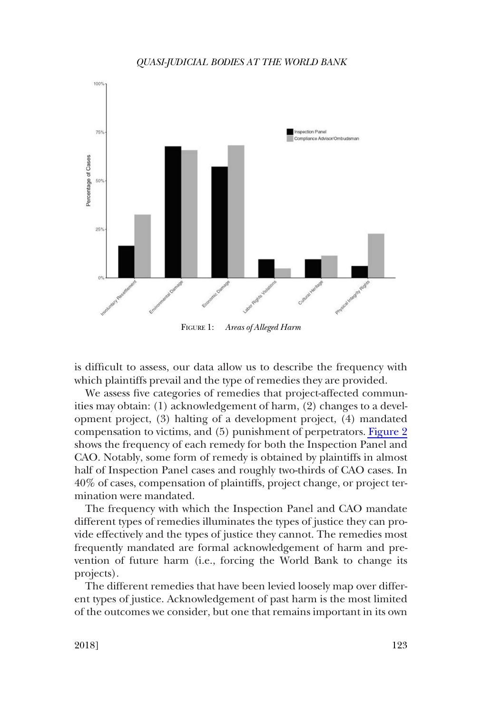<span id="page-10-0"></span>

is difficult to assess, our data allow us to describe the frequency with which plaintiffs prevail and the type of remedies they are provided.

We assess five categories of remedies that project-affected communities may obtain: (1) acknowledgement of harm, (2) changes to a development project, (3) halting of a development project, (4) mandated compensation to victims, and (5) punishment of perpetrators. [Figure 2](#page-11-0)  shows the frequency of each remedy for both the Inspection Panel and CAO. Notably, some form of remedy is obtained by plaintiffs in almost half of Inspection Panel cases and roughly two-thirds of CAO cases. In 40% of cases, compensation of plaintiffs, project change, or project termination were mandated.

The frequency with which the Inspection Panel and CAO mandate different types of remedies illuminates the types of justice they can provide effectively and the types of justice they cannot. The remedies most frequently mandated are formal acknowledgement of harm and prevention of future harm (i.e., forcing the World Bank to change its projects).

The different remedies that have been levied loosely map over different types of justice. Acknowledgement of past harm is the most limited of the outcomes we consider, but one that remains important in its own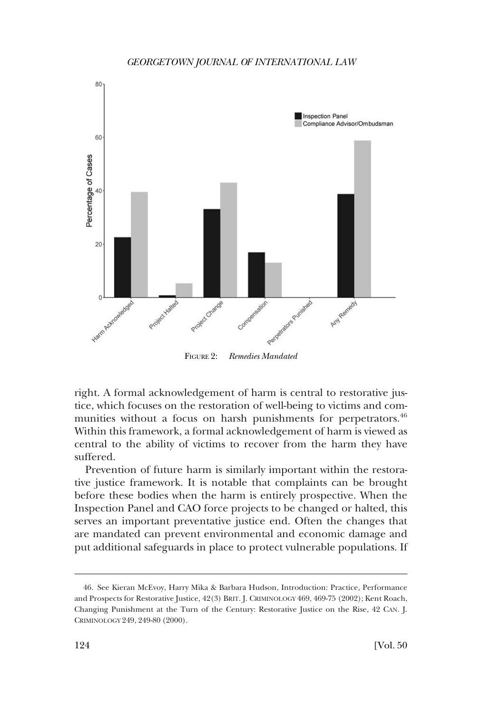<span id="page-11-0"></span>

FIGURE 2: *Remedies Mandated* 

right. A formal acknowledgement of harm is central to restorative justice, which focuses on the restoration of well-being to victims and communities without a focus on harsh punishments for perpetrators.<sup>46</sup> Within this framework, a formal acknowledgement of harm is viewed as central to the ability of victims to recover from the harm they have suffered.

Prevention of future harm is similarly important within the restorative justice framework. It is notable that complaints can be brought before these bodies when the harm is entirely prospective. When the Inspection Panel and CAO force projects to be changed or halted, this serves an important preventative justice end. Often the changes that are mandated can prevent environmental and economic damage and put additional safeguards in place to protect vulnerable populations. If

<sup>46.</sup> See Kieran McEvoy, Harry Mika & Barbara Hudson, Introduction: Practice, Performance and Prospects for Restorative Justice, 42(3) BRIT. J. CRIMINOLOGY 469, 469-75 (2002); Kent Roach, Changing Punishment at the Turn of the Century: Restorative Justice on the Rise, 42 CAN. J. CRIMINOLOGY 249, 249-80 (2000).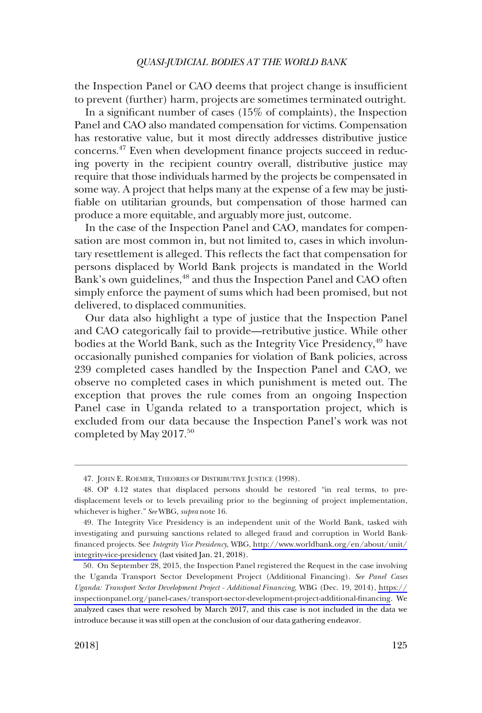the Inspection Panel or CAO deems that project change is insufficient to prevent (further) harm, projects are sometimes terminated outright.

In a significant number of cases (15% of complaints), the Inspection Panel and CAO also mandated compensation for victims. Compensation has restorative value, but it most directly addresses distributive justice concerns.47 Even when development finance projects succeed in reducing poverty in the recipient country overall, distributive justice may require that those individuals harmed by the projects be compensated in some way. A project that helps many at the expense of a few may be justifiable on utilitarian grounds, but compensation of those harmed can produce a more equitable, and arguably more just, outcome.

In the case of the Inspection Panel and CAO, mandates for compensation are most common in, but not limited to, cases in which involuntary resettlement is alleged. This reflects the fact that compensation for persons displaced by World Bank projects is mandated in the World Bank's own guidelines,<sup>48</sup> and thus the Inspection Panel and CAO often simply enforce the payment of sums which had been promised, but not delivered, to displaced communities.

Our data also highlight a type of justice that the Inspection Panel and CAO categorically fail to provide—retributive justice. While other bodies at the World Bank, such as the Integrity Vice Presidency,<sup>49</sup> have occasionally punished companies for violation of Bank policies, across 239 completed cases handled by the Inspection Panel and CAO, we observe no completed cases in which punishment is meted out. The exception that proves the rule comes from an ongoing Inspection Panel case in Uganda related to a transportation project, which is excluded from our data because the Inspection Panel's work was not completed by May 2017.<sup>50</sup>

<sup>47.</sup> JOHN E. ROEMER, THEORIES OF DISTRIBUTIVE JUSTICE (1998).

<sup>48.</sup> OP 4.12 states that displaced persons should be restored "in real terms, to predisplacement levels or to levels prevailing prior to the beginning of project implementation, whichever is higher." *See* WBG, *supra* note 16.

The Integrity Vice Presidency is an independent unit of the World Bank, tasked with 49. investigating and pursuing sanctions related to alleged fraud and corruption in World Bankfinanced projects. See *Integrity Vice Presidency*, WBG, [http://www.worldbank.org/en/about/unit/](http://www.worldbank.org/en/about/unit/integrity-vice-presidency)  [integrity-vice-presidency](http://www.worldbank.org/en/about/unit/integrity-vice-presidency) (last visited Jan. 21, 2018).

<sup>50.</sup> On September 28, 2015, the Inspection Panel registered the Request in the case involving the Uganda Transport Sector Development Project (Additional Financing). *See Panel Cases Uganda: Transport Sector Development Project - Additional Financing*, WBG (Dec. 19, 2014), [https://](https://inspectionpanel.org/panel-cases/transport-sector-development-project-additional-financing) [inspectionpanel.org/panel-cases/transport-sector-development-project-additional-financing](https://inspectionpanel.org/panel-cases/transport-sector-development-project-additional-financing). We analyzed cases that were resolved by March 2017, and this case is not included in the data we introduce because it was still open at the conclusion of our data gathering endeavor.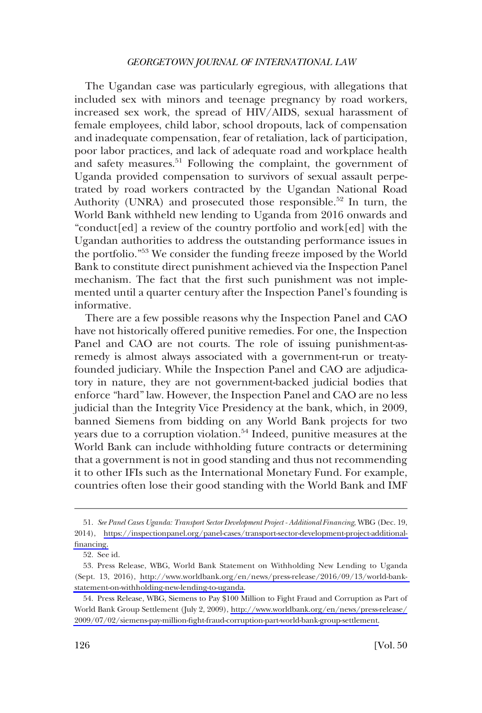The Ugandan case was particularly egregious, with allegations that included sex with minors and teenage pregnancy by road workers, increased sex work, the spread of HIV/AIDS, sexual harassment of female employees, child labor, school dropouts, lack of compensation and inadequate compensation, fear of retaliation, lack of participation, poor labor practices, and lack of adequate road and workplace health and safety measures.<sup>51</sup> Following the complaint, the government of Uganda provided compensation to survivors of sexual assault perpetrated by road workers contracted by the Ugandan National Road Authority (UNRA) and prosecuted those responsible.<sup>52</sup> In turn, the World Bank withheld new lending to Uganda from 2016 onwards and "conduct[ed] a review of the country portfolio and work[ed] with the Ugandan authorities to address the outstanding performance issues in the portfolio."<sup>53</sup> We consider the funding freeze imposed by the World Bank to constitute direct punishment achieved via the Inspection Panel mechanism. The fact that the first such punishment was not implemented until a quarter century after the Inspection Panel's founding is informative.

There are a few possible reasons why the Inspection Panel and CAO have not historically offered punitive remedies. For one, the Inspection Panel and CAO are not courts. The role of issuing punishment-asremedy is almost always associated with a government-run or treatyfounded judiciary. While the Inspection Panel and CAO are adjudicatory in nature, they are not government-backed judicial bodies that enforce "hard" law. However, the Inspection Panel and CAO are no less judicial than the Integrity Vice Presidency at the bank, which, in 2009, banned Siemens from bidding on any World Bank projects for two years due to a corruption violation.<sup>54</sup> Indeed, punitive measures at the World Bank can include withholding future contracts or determining that a government is not in good standing and thus not recommending it to other IFIs such as the International Monetary Fund. For example, countries often lose their good standing with the World Bank and IMF

*See Panel Cases Uganda: Transport Sector Development Project - Additional Financing*, WBG (Dec. 19, 51. 2014), [https://inspectionpanel.org/panel-cases/transport-sector-development-project-additional](https://inspectionpanel.org/panel-cases/transport-sector-development-project-additional-financing)[financing.](https://inspectionpanel.org/panel-cases/transport-sector-development-project-additional-financing)

<sup>52.</sup> See id.

<sup>53.</sup> Press Release, WBG, World Bank Statement on Withholding New Lending to Uganda (Sept. 13, 2016), [http://www.worldbank.org/en/news/press-release/2016/09/13/world-bank](http://www.worldbank.org/en/news/press-release/2016/09/13/world-bank-statement-on-withholding-new-lending-to-uganda)[statement-on-withholding-new-lending-to-uganda.](http://www.worldbank.org/en/news/press-release/2016/09/13/world-bank-statement-on-withholding-new-lending-to-uganda)

<sup>54.</sup> Press Release, WBG, Siemens to Pay \$100 Million to Fight Fraud and Corruption as Part of World Bank Group Settlement (July 2, 2009), [http://www.worldbank.org/en/news/press-release/](http://www.worldbank.org/en/news/press-release/2009/07/02/siemens-pay-million-fight-fraud-corruption-part-world-bank-group-settlement)  [2009/07/02/siemens-pay-million-fight-fraud-corruption-part-world-bank-group-settlement.](http://www.worldbank.org/en/news/press-release/2009/07/02/siemens-pay-million-fight-fraud-corruption-part-world-bank-group-settlement)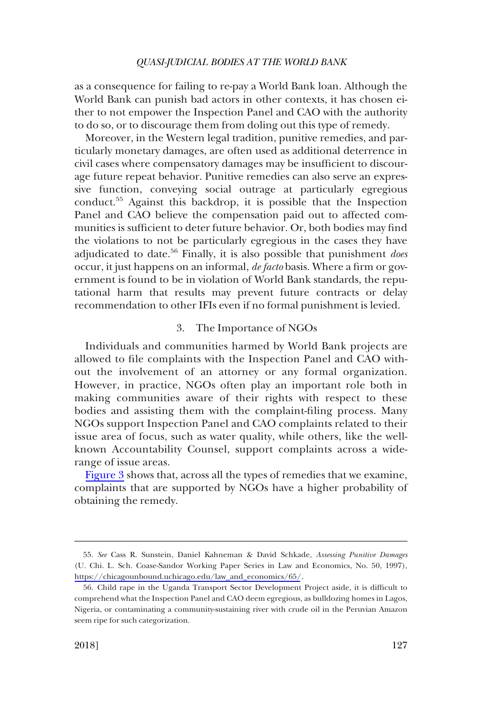<span id="page-14-0"></span>as a consequence for failing to re-pay a World Bank loan. Although the World Bank can punish bad actors in other contexts, it has chosen either to not empower the Inspection Panel and CAO with the authority to do so, or to discourage them from doling out this type of remedy.

Moreover, in the Western legal tradition, punitive remedies, and particularly monetary damages, are often used as additional deterrence in civil cases where compensatory damages may be insufficient to discourage future repeat behavior. Punitive remedies can also serve an expressive function, conveying social outrage at particularly egregious conduct.55 Against this backdrop, it is possible that the Inspection Panel and CAO believe the compensation paid out to affected communities is sufficient to deter future behavior. Or, both bodies may find the violations to not be particularly egregious in the cases they have adjudicated to date.<sup>56</sup> Finally, it is also possible that punishment *does* occur, it just happens on an informal, *de facto* basis. Where a firm or government is found to be in violation of World Bank standards, the reputational harm that results may prevent future contracts or delay recommendation to other IFIs even if no formal punishment is levied.

### 3. The Importance of NGOs

Individuals and communities harmed by World Bank projects are allowed to file complaints with the Inspection Panel and CAO without the involvement of an attorney or any formal organization. However, in practice, NGOs often play an important role both in making communities aware of their rights with respect to these bodies and assisting them with the complaint-filing process. Many NGOs support Inspection Panel and CAO complaints related to their issue area of focus, such as water quality, while others, like the wellknown Accountability Counsel, support complaints across a widerange of issue areas.

[Figure 3](#page-15-0) shows that, across all the types of remedies that we examine, complaints that are supported by NGOs have a higher probability of obtaining the remedy.

*See* Cass R. Sunstein, Daniel Kahneman & David Schkade, *Assessing Punitive Damages*  55. (U. Chi. L. Sch. Coase-Sandor Working Paper Series in Law and Economics, No. 50, 1997), [https://chicagounbound.uchicago.edu/law\\_and\\_economics/65/](https://chicagounbound.uchicago.edu/law_and_economics/65/).

<sup>56.</sup> Child rape in the Uganda Transport Sector Development Project aside, it is difficult to comprehend what the Inspection Panel and CAO deem egregious, as bulldozing homes in Lagos, Nigeria, or contaminating a community-sustaining river with crude oil in the Peruvian Amazon seem ripe for such categorization.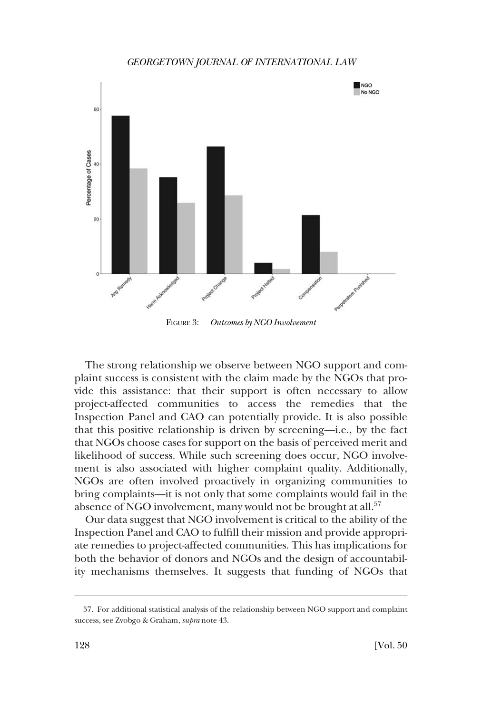<span id="page-15-0"></span>

FIGURE 3: *Outcomes by NGO Involvement* 

The strong relationship we observe between NGO support and complaint success is consistent with the claim made by the NGOs that provide this assistance: that their support is often necessary to allow project-affected communities to access the remedies that the Inspection Panel and CAO can potentially provide. It is also possible that this positive relationship is driven by screening—i.e., by the fact that NGOs choose cases for support on the basis of perceived merit and likelihood of success. While such screening does occur, NGO involvement is also associated with higher complaint quality. Additionally, NGOs are often involved proactively in organizing communities to bring complaints—it is not only that some complaints would fail in the absence of NGO involvement, many would not be brought at all.<sup>57</sup>

Our data suggest that NGO involvement is critical to the ability of the Inspection Panel and CAO to fulfill their mission and provide appropriate remedies to project-affected communities. This has implications for both the behavior of donors and NGOs and the design of accountability mechanisms themselves. It suggests that funding of NGOs that

<sup>57.</sup> For additional statistical analysis of the relationship between NGO support and complaint success, see Zvobgo & Graham, *supra* note 43.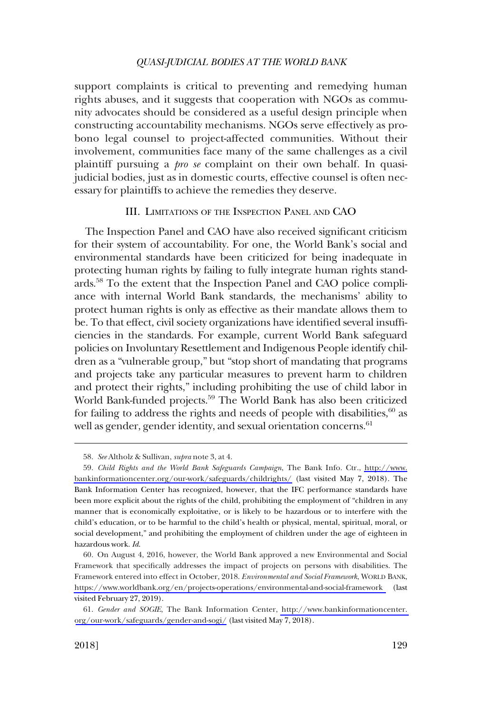<span id="page-16-0"></span>support complaints is critical to preventing and remedying human rights abuses, and it suggests that cooperation with NGOs as community advocates should be considered as a useful design principle when constructing accountability mechanisms. NGOs serve effectively as probono legal counsel to project-affected communities. Without their involvement, communities face many of the same challenges as a civil plaintiff pursuing a *pro se* complaint on their own behalf. In quasijudicial bodies, just as in domestic courts, effective counsel is often necessary for plaintiffs to achieve the remedies they deserve.

### III. LIMITATIONS OF THE INSPECTION PANEL AND CAO

The Inspection Panel and CAO have also received significant criticism for their system of accountability. For one, the World Bank's social and environmental standards have been criticized for being inadequate in protecting human rights by failing to fully integrate human rights standards.58 To the extent that the Inspection Panel and CAO police compliance with internal World Bank standards, the mechanisms' ability to protect human rights is only as effective as their mandate allows them to be. To that effect, civil society organizations have identified several insufficiencies in the standards. For example, current World Bank safeguard policies on Involuntary Resettlement and Indigenous People identify children as a "vulnerable group," but "stop short of mandating that programs and projects take any particular measures to prevent harm to children and protect their rights," including prohibiting the use of child labor in World Bank-funded projects.<sup>59</sup> The World Bank has also been criticized for failing to address the rights and needs of people with disabilities, $60$  as well as gender, gender identity, and sexual orientation concerns.<sup>61</sup>

<sup>58.</sup> *See* Altholz & Sullivan, *supra* note 3, at 4.

*Child Rights and the World Bank Safeguards Campaign*, The Bank Info. Ctr., [http://www.](http://www.bankinformationcenter.org/our-work/safeguards/childrights/) 59. [bankinformationcenter.org/our-work/safeguards/childrights/](http://www.bankinformationcenter.org/our-work/safeguards/childrights/) (last visited May 7, 2018). The Bank Information Center has recognized, however, that the IFC performance standards have been more explicit about the rights of the child, prohibiting the employment of "children in any manner that is economically exploitative, or is likely to be hazardous or to interfere with the child's education, or to be harmful to the child's health or physical, mental, spiritual, moral, or social development," and prohibiting the employment of children under the age of eighteen in hazardous work. *Id*.

<sup>60.</sup> On August 4, 2016, however, the World Bank approved a new Environmental and Social Framework that specifically addresses the impact of projects on persons with disabilities. The Framework entered into effect in October, 2018. *Environmental and Social Framework*, WORLD BANK, <https://www.worldbank.org/en/projects-operations/environmental-and-social-framework>(last visited February 27, 2019).

*Gender and SOGIE*, The Bank Information Center, [http://www.bankinformationcenter.](http://www.bankinformationcenter.org/our-work/safeguards/gender-and-sogi/)  61. [org/our-work/safeguards/gender-and-sogi/](http://www.bankinformationcenter.org/our-work/safeguards/gender-and-sogi/) (last visited May 7, 2018).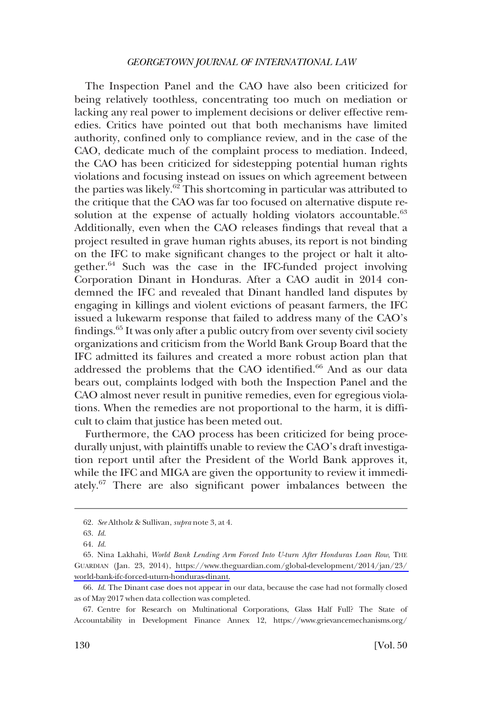The Inspection Panel and the CAO have also been criticized for being relatively toothless, concentrating too much on mediation or lacking any real power to implement decisions or deliver effective remedies. Critics have pointed out that both mechanisms have limited authority, confined only to compliance review, and in the case of the CAO, dedicate much of the complaint process to mediation. Indeed, the CAO has been criticized for sidestepping potential human rights violations and focusing instead on issues on which agreement between the parties was likely.<sup>62</sup> This shortcoming in particular was attributed to the critique that the CAO was far too focused on alternative dispute resolution at the expense of actually holding violators accountable.<sup>63</sup> Additionally, even when the CAO releases findings that reveal that a project resulted in grave human rights abuses, its report is not binding on the IFC to make significant changes to the project or halt it altogether.64 Such was the case in the IFC-funded project involving Corporation Dinant in Honduras. After a CAO audit in 2014 condemned the IFC and revealed that Dinant handled land disputes by engaging in killings and violent evictions of peasant farmers, the IFC issued a lukewarm response that failed to address many of the CAO's findings.65 It was only after a public outcry from over seventy civil society organizations and criticism from the World Bank Group Board that the IFC admitted its failures and created a more robust action plan that addressed the problems that the CAO identified.<sup>66</sup> And as our data bears out, complaints lodged with both the Inspection Panel and the CAO almost never result in punitive remedies, even for egregious violations. When the remedies are not proportional to the harm, it is difficult to claim that justice has been meted out.

Furthermore, the CAO process has been criticized for being procedurally unjust, with plaintiffs unable to review the CAO's draft investigation report until after the President of the World Bank approves it, while the IFC and MIGA are given the opportunity to review it immediately.67 There are also significant power imbalances between the

<sup>62.</sup> *See* Altholz & Sullivan, *supra* note 3, at 4.

<sup>63.</sup> *Id*.

<sup>64.</sup> *Id*.

<sup>65.</sup> Nina Lakhahi, *World Bank Lending Arm Forced Into U-turn After Honduras Loan Row*, THE GUARDIAN (Jan. 23, 2014), [https://www.theguardian.com/global-development/2014/jan/23/](https://www.theguardian.com/global-development/2014/jan/23/world-bank-ifc-forced-uturn-honduras-dinant)  [world-bank-ifc-forced-uturn-honduras-dinant.](https://www.theguardian.com/global-development/2014/jan/23/world-bank-ifc-forced-uturn-honduras-dinant)

<sup>66.</sup> *Id*. The Dinant case does not appear in our data, because the case had not formally closed as of May 2017 when data collection was completed.

<sup>67.</sup> Centre for Research on Multinational Corporations, Glass Half Full? The State of Accountability in Development Finance Annex 12, https://www.grievancemechanisms.org/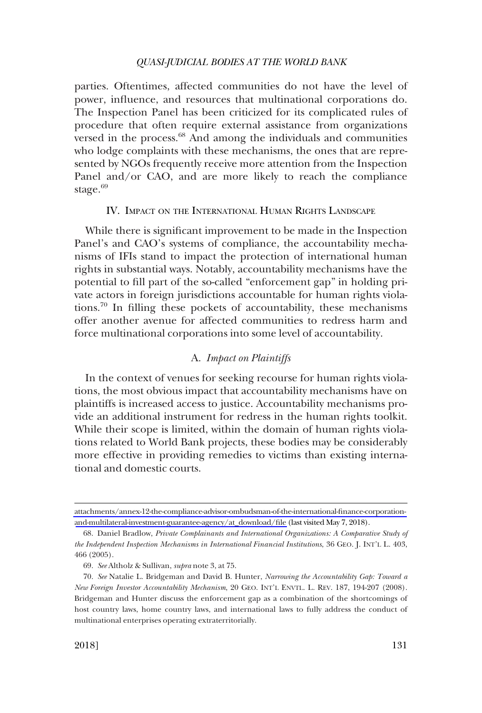<span id="page-18-0"></span>parties. Oftentimes, affected communities do not have the level of power, influence, and resources that multinational corporations do. The Inspection Panel has been criticized for its complicated rules of procedure that often require external assistance from organizations versed in the process.<sup>68</sup> And among the individuals and communities who lodge complaints with these mechanisms, the ones that are represented by NGOs frequently receive more attention from the Inspection Panel and/or CAO, and are more likely to reach the compliance stage. $69$ 

### IV. IMPACT ON THE INTERNATIONAL HUMAN RIGHTS LANDSCAPE

While there is significant improvement to be made in the Inspection Panel's and CAO's systems of compliance, the accountability mechanisms of IFIs stand to impact the protection of international human rights in substantial ways. Notably, accountability mechanisms have the potential to fill part of the so-called "enforcement gap" in holding private actors in foreign jurisdictions accountable for human rights violations.70 In filling these pockets of accountability, these mechanisms offer another avenue for affected communities to redress harm and force multinational corporations into some level of accountability.

# A. *Impact on Plaintiffs*

In the context of venues for seeking recourse for human rights violations, the most obvious impact that accountability mechanisms have on plaintiffs is increased access to justice. Accountability mechanisms provide an additional instrument for redress in the human rights toolkit. While their scope is limited, within the domain of human rights violations related to World Bank projects, these bodies may be considerably more effective in providing remedies to victims than existing international and domestic courts.

[attachments/annex-12-the-compliance-advisor-ombudsman-of-the-international-finance-corporation](https://www.grievancemechanisms.org/attachments/annex-12-the-compliance-advisor-ombudsman-of-the-international-finance-corporation-and-multilateral-investment-guarantee-agency/at_download/file)[and-multilateral-investment-guarantee-agency/at\\_download/file](https://www.grievancemechanisms.org/attachments/annex-12-the-compliance-advisor-ombudsman-of-the-international-finance-corporation-and-multilateral-investment-guarantee-agency/at_download/file) (last visited May 7, 2018).

<sup>68.</sup> Daniel Bradlow, *Private Complainants and International Organizations: A Comparative Study of the Independent Inspection Mechanisms in International Financial Institutions*, 36 GEO. J. INT'L L. 403, 466 (2005).

<sup>69.</sup> *See* Altholz & Sullivan, *supra* note 3, at 75.

<sup>70.</sup> *See* Natalie L. Bridgeman and David B. Hunter, *Narrowing the Accountability Gap: Toward a New Foreign Investor Accountability Mechanism*, 20 GEO. INT'L ENVTL. L. REV. 187, 194-207 (2008). Bridgeman and Hunter discuss the enforcement gap as a combination of the shortcomings of host country laws, home country laws, and international laws to fully address the conduct of multinational enterprises operating extraterritorially.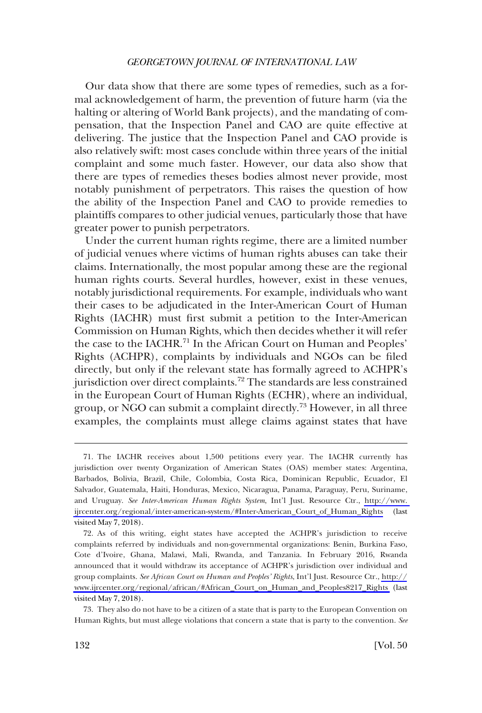Our data show that there are some types of remedies, such as a formal acknowledgement of harm, the prevention of future harm (via the halting or altering of World Bank projects), and the mandating of compensation, that the Inspection Panel and CAO are quite effective at delivering. The justice that the Inspection Panel and CAO provide is also relatively swift: most cases conclude within three years of the initial complaint and some much faster. However, our data also show that there are types of remedies theses bodies almost never provide, most notably punishment of perpetrators. This raises the question of how the ability of the Inspection Panel and CAO to provide remedies to plaintiffs compares to other judicial venues, particularly those that have greater power to punish perpetrators.

Under the current human rights regime, there are a limited number of judicial venues where victims of human rights abuses can take their claims. Internationally, the most popular among these are the regional human rights courts. Several hurdles, however, exist in these venues, notably jurisdictional requirements. For example, individuals who want their cases to be adjudicated in the Inter-American Court of Human Rights (IACHR) must first submit a petition to the Inter-American Commission on Human Rights, which then decides whether it will refer the case to the IACHR.<sup>71</sup> In the African Court on Human and Peoples' Rights (ACHPR), complaints by individuals and NGOs can be filed directly, but only if the relevant state has formally agreed to ACHPR's jurisdiction over direct complaints.<sup>72</sup> The standards are less constrained in the European Court of Human Rights (ECHR), where an individual, group, or NGO can submit a complaint directly.73 However, in all three examples, the complaints must allege claims against states that have

The IACHR receives about 1,500 petitions every year. The IACHR currently has 71. jurisdiction over twenty Organization of American States (OAS) member states: Argentina, Barbados, Bolivia, Brazil, Chile, Colombia, Costa Rica, Dominican Republic, Ecuador, El Salvador, Guatemala, Haiti, Honduras, Mexico, Nicaragua, Panama, Paraguay, Peru, Suriname, and Uruguay. *See Inter-American Human Rights System*, Int'l Just. Resource Ctr., [http://www.](http://www.ijrcenter.org/regional/inter-american-system/#Inter-American_Court_of_Human_Rights)  [ijrcenter.org/regional/inter-american-system/#Inter-American\\_Court\\_of\\_Human\\_Rights](http://www.ijrcenter.org/regional/inter-american-system/#Inter-American_Court_of_Human_Rights) (last visited May 7, 2018).

<sup>72.</sup> As of this writing, eight states have accepted the ACHPR's jurisdiction to receive complaints referred by individuals and non-governmental organizations: Benin, Burkina Faso, Cote d'Ivoire, Ghana, Malawi, Mali, Rwanda, and Tanzania. In February 2016, Rwanda announced that it would withdraw its acceptance of ACHPR's jurisdiction over individual and group complaints. *See African Court on Human and Peoples' Rights*, Int'l Just. Resource Ctr., [http://](http://www.ijrcenter.org/regional/african/#African_Court_on_Human_and_Peoples8217_Rights) [www.ijrcenter.org/regional/african/#African\\_Court\\_on\\_Human\\_and\\_Peoples8217\\_Rights](http://www.ijrcenter.org/regional/african/#African_Court_on_Human_and_Peoples8217_Rights) (last visited May 7, 2018).

<sup>73.</sup> They also do not have to be a citizen of a state that is party to the European Convention on Human Rights, but must allege violations that concern a state that is party to the convention. *See*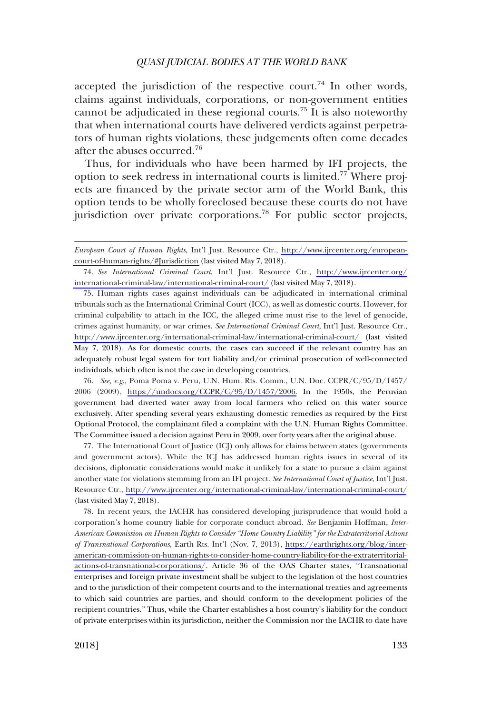accepted the jurisdiction of the respective court.<sup>74</sup> In other words, claims against individuals, corporations, or non-government entities cannot be adjudicated in these regional courts.75 It is also noteworthy that when international courts have delivered verdicts against perpetrators of human rights violations, these judgements often come decades after the abuses occurred.<sup>76</sup>

Thus, for individuals who have been harmed by IFI projects, the option to seek redress in international courts is limited.<sup>77</sup> Where projects are financed by the private sector arm of the World Bank, this option tends to be wholly foreclosed because these courts do not have jurisdiction over private corporations.<sup>78</sup> For public sector projects,

75. Human rights cases against individuals can be adjudicated in international criminal tribunals such as the International Criminal Court (ICC), as well as domestic courts. However, for criminal culpability to attach in the ICC, the alleged crime must rise to the level of genocide, crimes against humanity, or war crimes. *See International Criminal Court*, Int'l Just. Resource Ctr., <http://www.ijrcenter.org/international-criminal-law/international-criminal-court/>(last visited May 7, 2018). As for domestic courts, the cases can succeed if the relevant country has an adequately robust legal system for tort liability and/or criminal prosecution of well-connected individuals, which often is not the case in developing countries.

*See, e.g*., Poma Poma v. Peru, U.N. Hum. Rts. Comm., U.N. Doc. CCPR/C/95/D/1457/ 76. 2006 (2009), [https://undocs.org/CCPR/C/95/D/1457/2006.](https://undocs.org/CCPR/C/95/D/1457/2006) In the 1950s, the Peruvian government had diverted water away from local farmers who relied on this water source exclusively. After spending several years exhausting domestic remedies as required by the First Optional Protocol, the complainant filed a complaint with the U.N. Human Rights Committee. The Committee issued a decision against Peru in 2009, over forty years after the original abuse.

The International Court of Justice (ICJ) only allows for claims between states (governments 77. and government actors). While the ICJ has addressed human rights issues in several of its decisions, diplomatic considerations would make it unlikely for a state to pursue a claim against another state for violations stemming from an IFI project. *See International Court of Justice*, Int'l Just. Resource Ctr., <http://www.ijrcenter.org/international-criminal-law/international-criminal-court/> (last visited May 7, 2018).

78. In recent years, the IACHR has considered developing jurisprudence that would hold a corporation's home country liable for corporate conduct abroad. *See* Benjamin Hoffman, *Inter-American Commission on Human Rights to Consider "Home Country Liability" for the Extraterritorial Actions of Transnational Corporations*, Earth Rts. Int'l (Nov. 7, 2013), [https://earthrights.org/blog/inter](https://earthrights.org/blog/inter-american-commission-on-human-rights-to-consider-home-country-liability-for-the-extraterritorial-actions-of-transnational-corporations/)[american-commission-on-human-rights-to-consider-home-country-liability-for-the-extraterritorial](https://earthrights.org/blog/inter-american-commission-on-human-rights-to-consider-home-country-liability-for-the-extraterritorial-actions-of-transnational-corporations/)[actions-of-transnational-corporations/](https://earthrights.org/blog/inter-american-commission-on-human-rights-to-consider-home-country-liability-for-the-extraterritorial-actions-of-transnational-corporations/). Article 36 of the OAS Charter states, "Transnational enterprises and foreign private investment shall be subject to the legislation of the host countries and to the jurisdiction of their competent courts and to the international treaties and agreements to which said countries are parties, and should conform to the development policies of the recipient countries." Thus, while the Charter establishes a host country's liability for the conduct of private enterprises within its jurisdiction, neither the Commission nor the IACHR to date have

*European Court of Human Rights*, Int'l Just. Resource Ctr., [http://www.ijrcenter.org/european](http://www.ijrcenter.org/european-court-of-human-rights/#Jurisdiction)[court-of-human-rights/#Jurisdiction](http://www.ijrcenter.org/european-court-of-human-rights/#Jurisdiction) (last visited May 7, 2018).

*See International Criminal Court*, Int'l Just. Resource Ctr., [http://www.ijrcenter.org/](http://www.ijrcenter.org/international-criminal-law/international-criminal-court/)  74. [international-criminal-law/international-criminal-court/](http://www.ijrcenter.org/international-criminal-law/international-criminal-court/) (last visited May 7, 2018).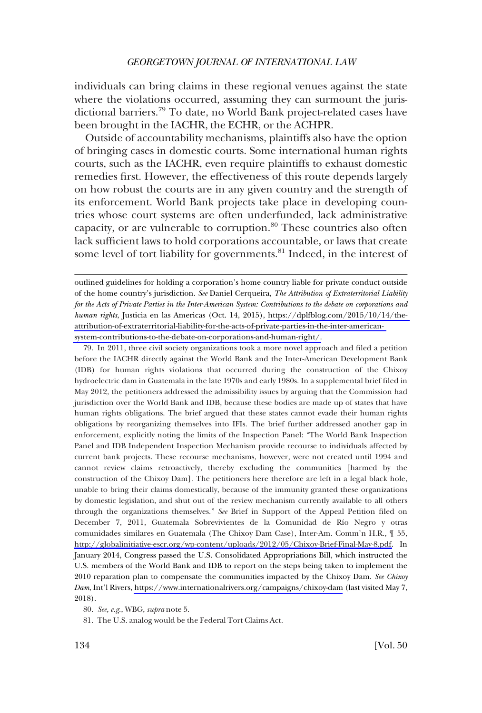individuals can bring claims in these regional venues against the state where the violations occurred, assuming they can surmount the jurisdictional barriers.79 To date, no World Bank project-related cases have been brought in the IACHR, the ECHR, or the ACHPR.

Outside of accountability mechanisms, plaintiffs also have the option of bringing cases in domestic courts. Some international human rights courts, such as the IACHR, even require plaintiffs to exhaust domestic remedies first. However, the effectiveness of this route depends largely on how robust the courts are in any given country and the strength of its enforcement. World Bank projects take place in developing countries whose court systems are often underfunded, lack administrative capacity, or are vulnerable to corruption.<sup>80</sup> These countries also often lack sufficient laws to hold corporations accountable, or laws that create some level of tort liability for governments.<sup>81</sup> Indeed, in the interest of

outlined guidelines for holding a corporation's home country liable for private conduct outside of the home country's jurisdiction. *See* Daniel Cerqueira, *The Attribution of Extraterritorial Liability for the Acts of Private Parties in the Inter-American System: Contributions to the debate on corporations and human rights*, Justicia en las Americas (Oct. 14, 2015), [https://dplfblog.com/2015/10/14/the](https://dplfblog.com/2015/10/14/the-attribution-of-extraterritorial-liability-for-the-acts-of-private-parties-in-the-inter-american-system-contributions-to-the-debate-on-corporations-and-human-right/)[attribution-of-extraterritorial-liability-for-the-acts-of-private-parties-in-the-inter-american](https://dplfblog.com/2015/10/14/the-attribution-of-extraterritorial-liability-for-the-acts-of-private-parties-in-the-inter-american-system-contributions-to-the-debate-on-corporations-and-human-right/)[system-contributions-to-the-debate-on-corporations-and-human-right/.](https://dplfblog.com/2015/10/14/the-attribution-of-extraterritorial-liability-for-the-acts-of-private-parties-in-the-inter-american-system-contributions-to-the-debate-on-corporations-and-human-right/)

79. In 2011, three civil society organizations took a more novel approach and filed a petition before the IACHR directly against the World Bank and the Inter-American Development Bank (IDB) for human rights violations that occurred during the construction of the Chixoy hydroelectric dam in Guatemala in the late 1970s and early 1980s. In a supplemental brief filed in May 2012, the petitioners addressed the admissibility issues by arguing that the Commission had jurisdiction over the World Bank and IDB, because these bodies are made up of states that have human rights obligations. The brief argued that these states cannot evade their human rights obligations by reorganizing themselves into IFIs. The brief further addressed another gap in enforcement, explicitly noting the limits of the Inspection Panel: "The World Bank Inspection Panel and IDB Independent Inspection Mechanism provide recourse to individuals affected by current bank projects. These recourse mechanisms, however, were not created until 1994 and cannot review claims retroactively, thereby excluding the communities [harmed by the construction of the Chixoy Dam]. The petitioners here therefore are left in a legal black hole, unable to bring their claims domestically, because of the immunity granted these organizations by domestic legislation, and shut out of the review mechanism currently available to all others through the organizations themselves." *See* Brief in Support of the Appeal Petition filed on December 7, 2011, Guatemala Sobrevivientes de la Comunidad de Río Negro y otras comunidades similares en Guatemala (The Chixoy Dam Case), Inter-Am. Comm'n H.R., ¶ 55, [http://globalinitiative-escr.org/wp-content/uploads/2012/05/Chixoy-Brief-Final-May-8.pdf.](http://globalinitiative-escr.org/wp-content/uploads/2012/05/Chixoy-Brief-Final-May-8.pdf) In January 2014, Congress passed the U.S. Consolidated Appropriations Bill, which instructed the U.S. members of the World Bank and IDB to report on the steps being taken to implement the 2010 reparation plan to compensate the communities impacted by the Chixoy Dam. *See Chixoy Dam*, Int'l Rivers,<https://www.internationalrivers.org/campaigns/chixoy-dam> (last visited May 7, 2018).

80. *See, e.g*., WBG, *supra* note 5.

81. The U.S. analog would be the Federal Tort Claims Act.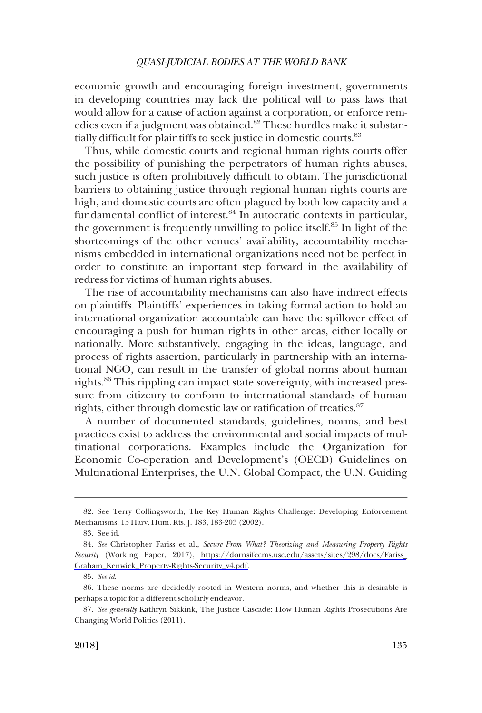economic growth and encouraging foreign investment, governments in developing countries may lack the political will to pass laws that would allow for a cause of action against a corporation, or enforce remedies even if a judgment was obtained.<sup>82</sup> These hurdles make it substantially difficult for plaintiffs to seek justice in domestic courts.<sup>83</sup>

Thus, while domestic courts and regional human rights courts offer the possibility of punishing the perpetrators of human rights abuses, such justice is often prohibitively difficult to obtain. The jurisdictional barriers to obtaining justice through regional human rights courts are high, and domestic courts are often plagued by both low capacity and a fundamental conflict of interest.<sup>84</sup> In autocratic contexts in particular, the government is frequently unwilling to police itself.<sup>85</sup> In light of the shortcomings of the other venues' availability, accountability mechanisms embedded in international organizations need not be perfect in order to constitute an important step forward in the availability of redress for victims of human rights abuses.

The rise of accountability mechanisms can also have indirect effects on plaintiffs. Plaintiffs' experiences in taking formal action to hold an international organization accountable can have the spillover effect of encouraging a push for human rights in other areas, either locally or nationally. More substantively, engaging in the ideas, language, and process of rights assertion, particularly in partnership with an international NGO, can result in the transfer of global norms about human rights.<sup>86</sup> This rippling can impact state sovereignty, with increased pressure from citizenry to conform to international standards of human rights, either through domestic law or ratification of treaties.<sup>87</sup>

A number of documented standards, guidelines, norms, and best practices exist to address the environmental and social impacts of multinational corporations. Examples include the Organization for Economic Co-operation and Development's (OECD) Guidelines on Multinational Enterprises, the U.N. Global Compact, the U.N. Guiding

<sup>82.</sup> See Terry Collingsworth, The Key Human Rights Challenge: Developing Enforcement Mechanisms, 15 Harv. Hum. Rts. J. 183, 183-203 (2002).

<sup>83.</sup> See id.

*See* Christopher Fariss et al., *Secure From What? Theorizing and Measuring Property Rights*  84. *Security* (Working Paper, 2017), [https://dornsifecms.usc.edu/assets/sites/298/docs/Fariss\\_](https://dornsifecms.usc.edu/assets/sites/298/docs/Fariss_Graham_Kenwick_Property-Rights-Security_v4.pdf) [Graham\\_Kenwick\\_Property-Rights-Security\\_v4.pdf.](https://dornsifecms.usc.edu/assets/sites/298/docs/Fariss_Graham_Kenwick_Property-Rights-Security_v4.pdf)

<sup>85.</sup> *See id*.

<sup>86.</sup> These norms are decidedly rooted in Western norms, and whether this is desirable is perhaps a topic for a different scholarly endeavor.

<sup>87.</sup> *See generally* Kathryn Sikkink, The Justice Cascade: How Human Rights Prosecutions Are Changing World Politics (2011).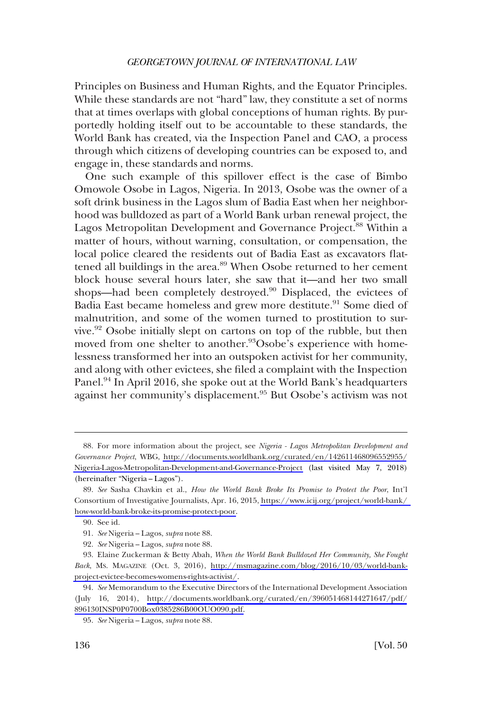Principles on Business and Human Rights, and the Equator Principles. While these standards are not "hard" law, they constitute a set of norms that at times overlaps with global conceptions of human rights. By purportedly holding itself out to be accountable to these standards, the World Bank has created, via the Inspection Panel and CAO, a process through which citizens of developing countries can be exposed to, and engage in, these standards and norms.

One such example of this spillover effect is the case of Bimbo Omowole Osobe in Lagos, Nigeria. In 2013, Osobe was the owner of a soft drink business in the Lagos slum of Badia East when her neighborhood was bulldozed as part of a World Bank urban renewal project, the Lagos Metropolitan Development and Governance Project.<sup>88</sup> Within a matter of hours, without warning, consultation, or compensation, the local police cleared the residents out of Badia East as excavators flattened all buildings in the area.<sup>89</sup> When Osobe returned to her cement block house several hours later, she saw that it—and her two small shops—had been completely destroyed.<sup>90</sup> Displaced, the evictees of Badia East became homeless and grew more destitute.<sup>91</sup> Some died of malnutrition, and some of the women turned to prostitution to survive.<sup>92</sup> Osobe initially slept on cartons on top of the rubble, but then moved from one shelter to another.<sup>93</sup>Osobe's experience with homelessness transformed her into an outspoken activist for her community, and along with other evictees, she filed a complaint with the Inspection Panel.<sup>94</sup> In April 2016, she spoke out at the World Bank's headquarters against her community's displacement.95 But Osobe's activism was not

For more information about the project, see *Nigeria - Lagos Metropolitan Development and*  88. *Governance Project*, WBG, [http://documents.worldbank.org/curated/en/142611468096552955/](http://documents.worldbank.org/curated/en/142611468096552955/Nigeria-Lagos-Metropolitan-Development-and-Governance-Project) [Nigeria-Lagos-Metropolitan-Development-and-Governance-Project](http://documents.worldbank.org/curated/en/142611468096552955/Nigeria-Lagos-Metropolitan-Development-and-Governance-Project) (last visited May 7, 2018) (hereinafter "Nigeria – Lagos").

*See* Sasha Chavkin et al., *How the World Bank Broke Its Promise to Protect the Poor*, Int'l 89. Consortium of Investigative Journalists, Apr. 16, 2015, [https://www.icij.org/project/world-bank/](https://www.icij.org/project/world-bank/how-world-bank-broke-its-promise-protect-poor)  [how-world-bank-broke-its-promise-protect-poor.](https://www.icij.org/project/world-bank/how-world-bank-broke-its-promise-protect-poor)

<sup>90.</sup> See id.

<sup>91.</sup> *See* Nigeria – Lagos, *supra* note 88.

<sup>92.</sup> *See* Nigeria – Lagos, *supra* note 88.

Elaine Zuckerman & Betty Abah, *When the World Bank Bulldozed Her Community, She Fought*  93. *Back*, MS. MAGAZINE (Oct. 3, 2016), [http://msmagazine.com/blog/2016/10/03/world-bank](http://msmagazine.com/blog/2016/10/03/world-bank-project-evictee-becomes-womens-rights-activist/)[project-evictee-becomes-womens-rights-activist/](http://msmagazine.com/blog/2016/10/03/world-bank-project-evictee-becomes-womens-rights-activist/).

*See* Memorandum to the Executive Directors of the International Development Association 94. (July 16, 2014), [http://documents.worldbank.org/curated/en/396051468144271647/pdf/](http://documents.worldbank.org/curated/en/396051468144271647/pdf/896130INSP0P0700Box0385286B00OUO090.pdf) [896130INSP0P0700Box0385286B00OUO090.pdf.](http://documents.worldbank.org/curated/en/396051468144271647/pdf/896130INSP0P0700Box0385286B00OUO090.pdf)

<sup>95.</sup> *See* Nigeria – Lagos, *supra* note 88.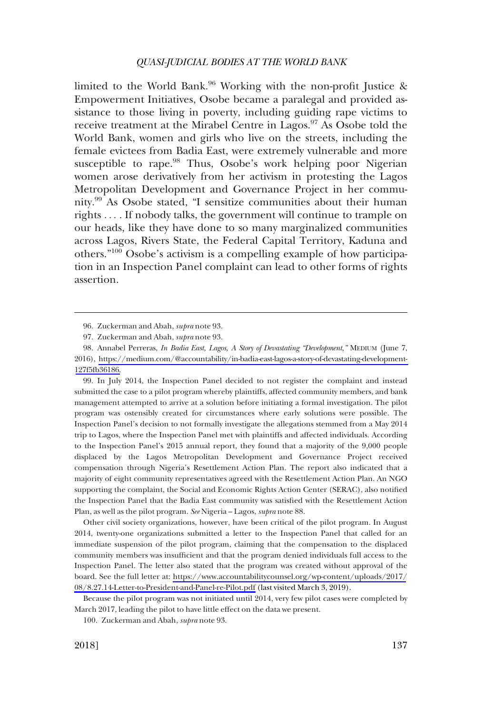limited to the World Bank.<sup>96</sup> Working with the non-profit Justice & Empowerment Initiatives, Osobe became a paralegal and provided assistance to those living in poverty, including guiding rape victims to receive treatment at the Mirabel Centre in Lagos.<sup>97</sup> As Osobe told the World Bank, women and girls who live on the streets, including the female evictees from Badia East, were extremely vulnerable and more susceptible to rape.<sup>98</sup> Thus, Osobe's work helping poor Nigerian women arose derivatively from her activism in protesting the Lagos Metropolitan Development and Governance Project in her community.99 As Osobe stated, "I sensitize communities about their human rights . . . . If nobody talks, the government will continue to trample on our heads, like they have done to so many marginalized communities across Lagos, Rivers State, the Federal Capital Territory, Kaduna and others."100 Osobe's activism is a compelling example of how participation in an Inspection Panel complaint can lead to other forms of rights assertion.

99. In July 2014, the Inspection Panel decided to not register the complaint and instead submitted the case to a pilot program whereby plaintiffs, affected community members, and bank management attempted to arrive at a solution before initiating a formal investigation. The pilot program was ostensibly created for circumstances where early solutions were possible. The Inspection Panel's decision to not formally investigate the allegations stemmed from a May 2014 trip to Lagos, where the Inspection Panel met with plaintiffs and affected individuals. According to the Inspection Panel's 2015 annual report, they found that a majority of the 9,000 people displaced by the Lagos Metropolitan Development and Governance Project received compensation through Nigeria's Resettlement Action Plan. The report also indicated that a majority of eight community representatives agreed with the Resettlement Action Plan. An NGO supporting the complaint, the Social and Economic Rights Action Center (SERAC), also notified the Inspection Panel that the Badia East community was satisfied with the Resettlement Action Plan, as well as the pilot program. *See* Nigeria – Lagos, *supra* note 88.

Other civil society organizations, however, have been critical of the pilot program. In August 2014, twenty-one organizations submitted a letter to the Inspection Panel that called for an immediate suspension of the pilot program, claiming that the compensation to the displaced community members was insufficient and that the program denied individuals full access to the Inspection Panel. The letter also stated that the program was created without approval of the board. See the full letter at: [https://www.accountabilitycounsel.org/wp-content/uploads/2017/](https://www.accountabilitycounsel.org/wp-content/uploads/2017/08/8.27.14-Letter-to-President-and-Panel-re-Pilot.pdf) [08/8.27.14-Letter-to-President-and-Panel-re-Pilot.pdf](https://www.accountabilitycounsel.org/wp-content/uploads/2017/08/8.27.14-Letter-to-President-and-Panel-re-Pilot.pdf) (last visited March 3, 2019).

Because the pilot program was not initiated until 2014, very few pilot cases were completed by March 2017, leading the pilot to have little effect on the data we present.

100. Zuckerman and Abah, *supra* note 93.

<sup>96.</sup> Zuckerman and Abah, *supra* note 93.

<sup>97.</sup> Zuckerman and Abah, *supra* note 93.

Annabel Perreras, *In Badia East, Lagos, A Story of Devastating "Development,"* MEDIUM (June 7, 98. 2016), [https://medium.com/@accountability/in-badia-east-lagos-a-story-of-devastating-development-](https://medium.com/@accountability/in-badia-east-lagos-a-story-of-devastating-development-127f5fb36186)[127f5fb36186.](https://medium.com/@accountability/in-badia-east-lagos-a-story-of-devastating-development-127f5fb36186)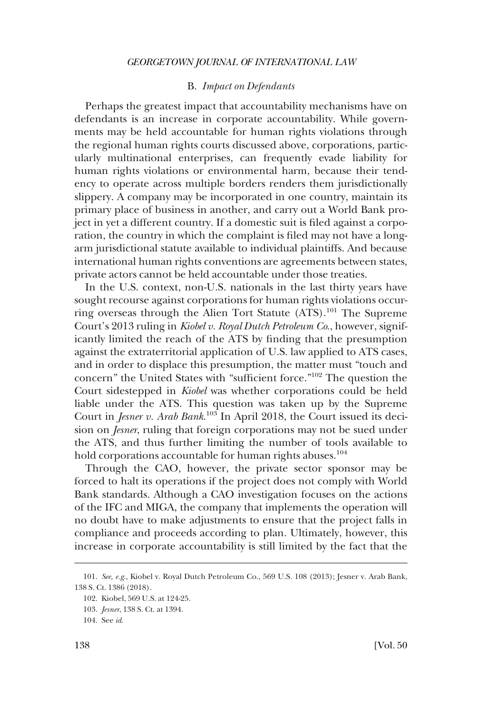### B. *Impact on Defendants*

<span id="page-25-0"></span>Perhaps the greatest impact that accountability mechanisms have on defendants is an increase in corporate accountability. While governments may be held accountable for human rights violations through the regional human rights courts discussed above, corporations, particularly multinational enterprises, can frequently evade liability for human rights violations or environmental harm, because their tendency to operate across multiple borders renders them jurisdictionally slippery. A company may be incorporated in one country, maintain its primary place of business in another, and carry out a World Bank project in yet a different country. If a domestic suit is filed against a corporation, the country in which the complaint is filed may not have a longarm jurisdictional statute available to individual plaintiffs. And because international human rights conventions are agreements between states, private actors cannot be held accountable under those treaties.

In the U.S. context, non-U.S. nationals in the last thirty years have sought recourse against corporations for human rights violations occurring overseas through the Alien Tort Statute (ATS).<sup>101</sup> The Supreme Court's 2013 ruling in *Kiobel v. Royal Dutch Petroleum Co*., however, significantly limited the reach of the ATS by finding that the presumption against the extraterritorial application of U.S. law applied to ATS cases, and in order to displace this presumption, the matter must "touch and concern" the United States with "sufficient force."102 The question the Court sidestepped in *Kiobel* was whether corporations could be held liable under the ATS. This question was taken up by the Supreme Court in *Jesner v. Arab Bank*. 103 In April 2018, the Court issued its decision on *Jesner*, ruling that foreign corporations may not be sued under the ATS, and thus further limiting the number of tools available to hold corporations accountable for human rights abuses.<sup>104</sup>

Through the CAO, however, the private sector sponsor may be forced to halt its operations if the project does not comply with World Bank standards. Although a CAO investigation focuses on the actions of the IFC and MIGA, the company that implements the operation will no doubt have to make adjustments to ensure that the project falls in compliance and proceeds according to plan. Ultimately, however, this increase in corporate accountability is still limited by the fact that the

<sup>101.</sup> *See, e.g*., Kiobel v. Royal Dutch Petroleum Co., 569 U.S. 108 (2013); Jesner v. Arab Bank, 138 S. Ct. 1386 (2018).

<sup>102.</sup> Kiobel, 569 U.S. at 124-25.

<sup>103.</sup> *Jesner*, 138 S. Ct. at 1394.

<sup>104.</sup> See *id*.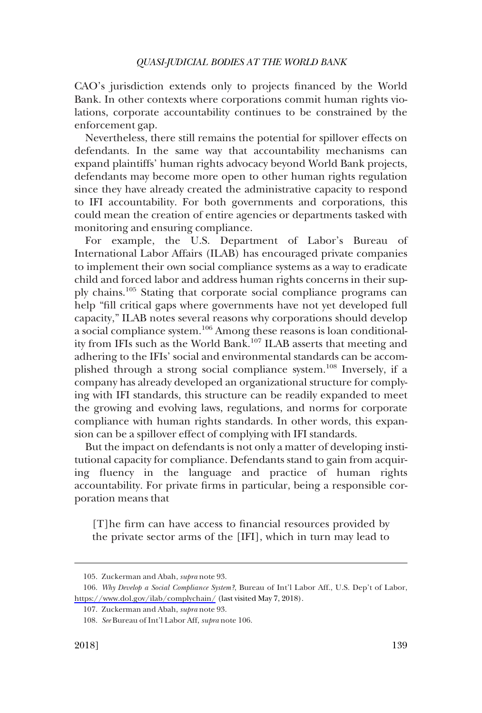CAO's jurisdiction extends only to projects financed by the World Bank. In other contexts where corporations commit human rights violations, corporate accountability continues to be constrained by the enforcement gap.

Nevertheless, there still remains the potential for spillover effects on defendants. In the same way that accountability mechanisms can expand plaintiffs' human rights advocacy beyond World Bank projects, defendants may become more open to other human rights regulation since they have already created the administrative capacity to respond to IFI accountability. For both governments and corporations, this could mean the creation of entire agencies or departments tasked with monitoring and ensuring compliance.

For example, the U.S. Department of Labor's Bureau of International Labor Affairs (ILAB) has encouraged private companies to implement their own social compliance systems as a way to eradicate child and forced labor and address human rights concerns in their supply chains.105 Stating that corporate social compliance programs can help "fill critical gaps where governments have not yet developed full capacity," ILAB notes several reasons why corporations should develop a social compliance system.<sup>106</sup> Among these reasons is loan conditionality from IFIs such as the World Bank.107 ILAB asserts that meeting and adhering to the IFIs' social and environmental standards can be accomplished through a strong social compliance system.108 Inversely, if a company has already developed an organizational structure for complying with IFI standards, this structure can be readily expanded to meet the growing and evolving laws, regulations, and norms for corporate compliance with human rights standards. In other words, this expansion can be a spillover effect of complying with IFI standards.

But the impact on defendants is not only a matter of developing institutional capacity for compliance. Defendants stand to gain from acquiring fluency in the language and practice of human rights accountability. For private firms in particular, being a responsible corporation means that

[T]he firm can have access to financial resources provided by the private sector arms of the [IFI], which in turn may lead to

<sup>105.</sup> Zuckerman and Abah, *supra* note 93.

<sup>106.</sup> Why Develop a Social Compliance System?, Bureau of Int'l Labor Aff., U.S. Dep't of Labor, <https://www.dol.gov/ilab/complychain/> (last visited May 7, 2018).

<sup>107.</sup> Zuckerman and Abah, *supra* note 93.

<sup>108.</sup> *See* Bureau of Int'l Labor Aff, *supra* note 106.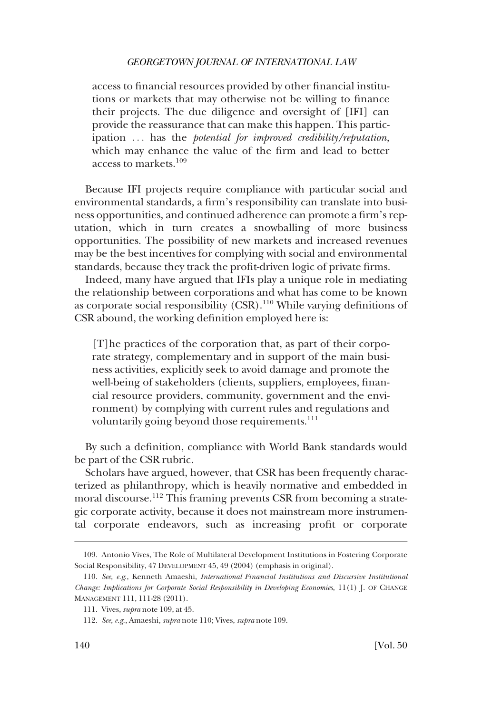access to financial resources provided by other financial institutions or markets that may otherwise not be willing to finance their projects. The due diligence and oversight of [IFI] can provide the reassurance that can make this happen. This participation . . . has the *potential for improved credibility/reputation*, which may enhance the value of the firm and lead to better access to markets.<sup>109</sup>

Because IFI projects require compliance with particular social and environmental standards, a firm's responsibility can translate into business opportunities, and continued adherence can promote a firm's reputation, which in turn creates a snowballing of more business opportunities. The possibility of new markets and increased revenues may be the best incentives for complying with social and environmental standards, because they track the profit-driven logic of private firms.

Indeed, many have argued that IFIs play a unique role in mediating the relationship between corporations and what has come to be known as corporate social responsibility (CSR).110 While varying definitions of CSR abound, the working definition employed here is:

[T]he practices of the corporation that, as part of their corporate strategy, complementary and in support of the main business activities, explicitly seek to avoid damage and promote the well-being of stakeholders (clients, suppliers, employees, financial resource providers, community, government and the environment) by complying with current rules and regulations and voluntarily going beyond those requirements.<sup>111</sup>

By such a definition, compliance with World Bank standards would be part of the CSR rubric.

Scholars have argued, however, that CSR has been frequently characterized as philanthropy, which is heavily normative and embedded in moral discourse.112 This framing prevents CSR from becoming a strategic corporate activity, because it does not mainstream more instrumental corporate endeavors, such as increasing profit or corporate

<sup>109.</sup> Antonio Vives, The Role of Multilateral Development Institutions in Fostering Corporate Social Responsibility, 47 DEVELOPMENT 45, 49 (2004) (emphasis in original).

<sup>110.</sup> *See, e.g*., Kenneth Amaeshi, *International Financial Institutions and Discursive Institutional Change: Implications for Corporate Social Responsibility in Developing Economies*, 11(1) J. OF CHANGE MANAGEMENT 111, 111-28 (2011).

<sup>111.</sup> Vives, *supra* note 109, at 45.

<sup>112.</sup> *See, e.g*., Amaeshi, *supra* note 110; Vives, *supra* note 109.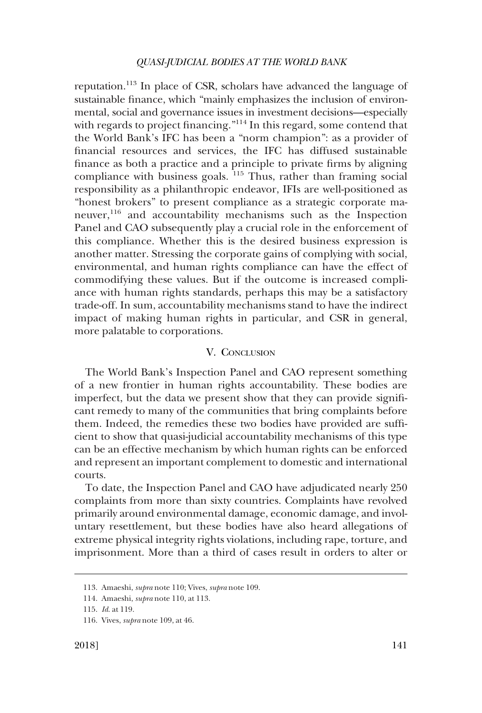<span id="page-28-0"></span>reputation.113 In place of CSR, scholars have advanced the language of sustainable finance, which "mainly emphasizes the inclusion of environmental, social and governance issues in investment decisions—especially with regards to project financing."<sup>114</sup> In this regard, some contend that the World Bank's IFC has been a "norm champion": as a provider of financial resources and services, the IFC has diffused sustainable finance as both a practice and a principle to private firms by aligning compliance with business goals. <sup>115</sup> Thus, rather than framing social responsibility as a philanthropic endeavor, IFIs are well-positioned as "honest brokers" to present compliance as a strategic corporate maneuver,<sup>116</sup> and accountability mechanisms such as the Inspection Panel and CAO subsequently play a crucial role in the enforcement of this compliance. Whether this is the desired business expression is another matter. Stressing the corporate gains of complying with social, environmental, and human rights compliance can have the effect of commodifying these values. But if the outcome is increased compliance with human rights standards, perhaps this may be a satisfactory trade-off. In sum, accountability mechanisms stand to have the indirect impact of making human rights in particular, and CSR in general, more palatable to corporations.

### V. CONCLUSION

The World Bank's Inspection Panel and CAO represent something of a new frontier in human rights accountability. These bodies are imperfect, but the data we present show that they can provide significant remedy to many of the communities that bring complaints before them. Indeed, the remedies these two bodies have provided are sufficient to show that quasi-judicial accountability mechanisms of this type can be an effective mechanism by which human rights can be enforced and represent an important complement to domestic and international courts.

To date, the Inspection Panel and CAO have adjudicated nearly 250 complaints from more than sixty countries. Complaints have revolved primarily around environmental damage, economic damage, and involuntary resettlement, but these bodies have also heard allegations of extreme physical integrity rights violations, including rape, torture, and imprisonment. More than a third of cases result in orders to alter or

<sup>113.</sup> Amaeshi, *supra* note 110; Vives, *supra* note 109.

<sup>114.</sup> Amaeshi, *supra* note 110, at 113.

<sup>115.</sup> *Id*. at 119.

<sup>116.</sup> Vives, *supra* note 109, at 46.